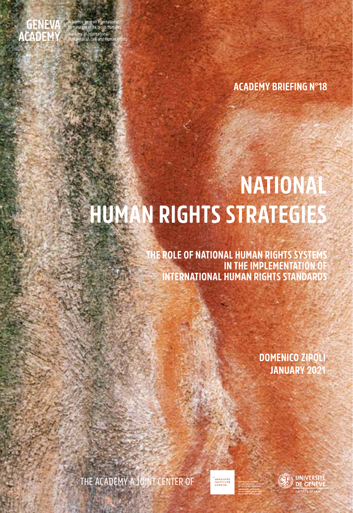

.<br>cadémie de droit internation<br>umanitaire et de droits hum and et actions name<br>y of International<br>:arian Law and Human

**ACADEMY BRIEFING N°18** 

# **NATIONAL HUMAN RIGHTS STRATEGIES**

E RO<mark>LE OF NATIONAL HUMAN RIGHTS SYSTEMS!</mark><br>I**N THE IMPLEMENTATION** OF **INTERNATIONAL HUMAN RIGHTS STANDARDS** 

> **DOMENICO ZIPOLI** JANUARY 2021

THE ACADEMY A JOINT CENTER OF

"<br>GRADUATE<br>INSTITUTE<br>GENEVA

**UNIVERSITÉ DE GENÈVE ACULTY OF LAW**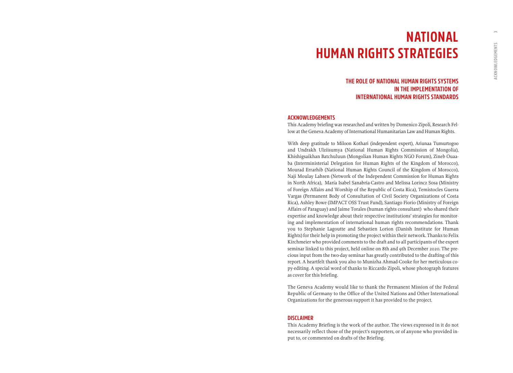## **NATIONAL HUMAN RIGHTS STRATEGIES**

### **THE ROLE OF NATIONAL HUMAN RIGHTS SYSTEMS IN THE IMPLEMENTATION OF INTERNATIONAL HUMAN RIGHTS STANDARDS**

#### **ACKNOWLEDGEMENTS**

This Academy briefing was researched and written by Domenico Zipoli, Research Fellow at the Geneva Academy of International Humanitarian Law and Human Rights.

With deep gratitude to Miloon Kothari (independent expert), Ariunaa Tumurtogoo and Undrakh Ulziisumya (National Human Rights Commission of Mongolia), Khishigsaikhan Batchuluun (Mongolian Human Rights NGO Forum), Zineb Ouaaba (Interministerial Delegation for Human Rights of the Kingdom of Morocco), Mourad Errarhib (National Human Rights Council of the Kingdom of Morocco), Naji Moulay Lahsen (Network of the Independent Commission for Human Rights in North Africa), María Isabel Sanabria-Castro and Melissa Lorincz Sosa (Ministry of Foreign Affairs and Worship of the Republic of Costa Rica), Temistocles Guerra Vargas (Permanent Body of Consultation of Civil Society Organizations of Costa Rica), Ashley Bowe (IMPACT OSS Trust Fund), Santiago Fiorio (Ministry of Foreign Affairs of Paraguay) and Jaime Torales (human rights consultant) who shared their expertise and knowledge about their respective institutions' strategies for monitoring and implementation of international human rights recommendations. Thank you to Stephanie Lagoutte and Sebastien Lorion (Danish Institute for Human Rights) for their help in promoting the project within their network. Thanks to Felix Kirchmeier who provided comments to the draft and to all participants of the expert seminar linked to this project, held online on 8th and 9th December 2020. The precious input from the two-day seminar has greatly contributed to the drafting of this report. A heartfelt thank you also to Munizha Ahmad-Cooke for her meticulous copy-editing. A special word of thanks to Riccardo Zipoli, whose photograph features as cover for this briefing.

The Geneva Academy would like to thank the Permanent Mission of the Federal Republic of Germany to the Office of the United Nations and Other International Organizations for the generous support it has provided to the project.

#### **DISCLAIMER**

This Academy Briefing is the work of the author. The views expressed in it do not necessarily reflect those of the project's supporters, or of anyone who provided input to, or commented on drafts of the Briefing.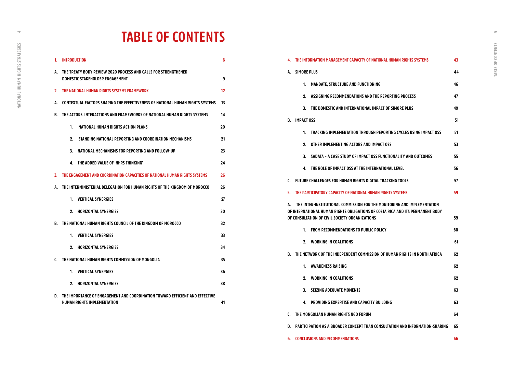## **TABLE OF CONTENTS**

| 1. | <b>INTRODUCTION</b>                                                                                               |                                                                            |    |  |  |  |
|----|-------------------------------------------------------------------------------------------------------------------|----------------------------------------------------------------------------|----|--|--|--|
| A. | THE TREATY BODY REVIEW 2020 PROCESS AND CALLS FOR STRENGTHENED<br><b>DOMESTIC STAKEHOLDER ENGAGEMENT</b>          |                                                                            |    |  |  |  |
| 2. | THE NATIONAL HUMAN RIGHTS SYSTEMS FRAMEWORK                                                                       |                                                                            |    |  |  |  |
| A. | CONTEXTUAL FACTORS SHAPING THE EFFECTIVENESS OF NATIONAL HUMAN RIGHTS SYSTEMS                                     |                                                                            |    |  |  |  |
| B. | THE ACTORS. INTERACTIONS AND FRAMEWORKS OF NATIONAL HUMAN RIGHTS SYSTEMS<br>14                                    |                                                                            |    |  |  |  |
|    | 1.                                                                                                                | NATIONAL HUMAN RIGHTS ACTION PLANS                                         | 20 |  |  |  |
|    | 2.                                                                                                                | STANDING NATIONAL REPORTING AND COORDINATION MECHANISMS                    | 21 |  |  |  |
|    | 3.                                                                                                                | NATIONAL MECHANISMS FOR REPORTING AND FOLLOW-UP                            | 23 |  |  |  |
|    | 4.                                                                                                                | THE ADDED VALUE OF 'NHRS THINKING'                                         | 24 |  |  |  |
| 3. | THE ENGAGEMENT AND COORDINATION CAPACITIES OF NATIONAL HUMAN RIGHTS SYSTEMS                                       |                                                                            |    |  |  |  |
| A. |                                                                                                                   | THE INTERMINISTERIAL DELEGATION FOR HUMAN RIGHTS OF THE KINGDOM OF MOROCCO | 26 |  |  |  |
|    | 1.                                                                                                                | <b>VERTICAL SYNERGIES</b>                                                  | 27 |  |  |  |
|    | 2.                                                                                                                | <b>HORIZONTAL SYNERGIES</b>                                                | 30 |  |  |  |
| В. |                                                                                                                   | THE NATIONAL HUMAN RIGHTS COUNCIL OF THE KINGDOM OF MOROCCO                | 32 |  |  |  |
|    | 1.                                                                                                                | <b>VERTICAL SYNERGIES</b>                                                  | 33 |  |  |  |
|    | 2.                                                                                                                | <b>HORIZONTAL SYNERGIES</b>                                                | 34 |  |  |  |
| C. |                                                                                                                   | THE NATIONAL HUMAN RIGHTS COMMISSION OF MONGOLIA                           | 35 |  |  |  |
|    | 1.                                                                                                                | <b>VERTICAL SYNERGIES</b>                                                  | 36 |  |  |  |
|    | 2.                                                                                                                | <b>HORIZONTAL SYNERGIES</b>                                                | 38 |  |  |  |
| D. | THE IMPORTANCE OF ENGAGEMENT AND COORDINATION TOWARD EFFICIENT AND EFFECTIVE<br>HUMAN RIGHTS IMPLEMENTATION<br>41 |                                                                            |    |  |  |  |

| 4. | THE INFORMATION MANAGEMENT CAPACITY OF NATIONAL HUMAN RIGHTS SYSTEMS               |                                                                                                                                                                                                              |    |  |  |  |
|----|------------------------------------------------------------------------------------|--------------------------------------------------------------------------------------------------------------------------------------------------------------------------------------------------------------|----|--|--|--|
| A. | SIMORE PLUS                                                                        |                                                                                                                                                                                                              | 44 |  |  |  |
|    | 1.                                                                                 | <b>MANDATE, STRUCTURE AND FUNCTIONING</b>                                                                                                                                                                    | 46 |  |  |  |
|    | 2.                                                                                 | ASSIGNING RECOMMENDATIONS AND THE REPORTING PROCESS                                                                                                                                                          | 47 |  |  |  |
|    | 3.                                                                                 | THE DOMESTIC AND INTERNATIONAL IMPACT OF SIMORE PLUS                                                                                                                                                         | 49 |  |  |  |
| В. |                                                                                    | <b>IMPACT OSS</b>                                                                                                                                                                                            |    |  |  |  |
|    | 1.                                                                                 | TRACKING IMPLEMENTATION THROUGH REPORTING CYCLES USING IMPACT OSS                                                                                                                                            | 51 |  |  |  |
|    | 2.                                                                                 | OTHER IMPLEMENTING ACTORS AND IMPACT OSS                                                                                                                                                                     | 53 |  |  |  |
|    | 3.                                                                                 | SADATA - A CASE STUDY OF IMPACT OSS FUNCTIONALITY AND OUTCOMES                                                                                                                                               | 55 |  |  |  |
|    | 4.                                                                                 | THE ROLE OF IMPACT OSS AT THE INTERNATIONAL LEVEL                                                                                                                                                            | 56 |  |  |  |
| C. |                                                                                    | FUTURE CHALLENGES FOR HUMAN RIGHTS DIGITAL TRACKING TOOLS                                                                                                                                                    | 57 |  |  |  |
| 5. |                                                                                    | THE PARTICIPATORY CAPACITY OF NATIONAL HUMAN RIGHTS SYSTEMS                                                                                                                                                  | 59 |  |  |  |
| A. |                                                                                    | THE INTER-INSTITUTIONAL COMMISSION FOR THE MONITORING AND IMPLEMENTATION<br>OF INTERNATIONAL HUMAN RIGHTS OBLIGATIONS OF COSTA RICA AND ITS PERMANENT BODY<br>OF CONSULTATION OF CIVIL SOCIETY ORGANIZATIONS | 59 |  |  |  |
|    | 1.                                                                                 | FROM RECOMMENDATIONS TO PUBLIC POLICY                                                                                                                                                                        | 60 |  |  |  |
|    | 2.                                                                                 | <b>WORKING IN COALITIONS</b>                                                                                                                                                                                 | 61 |  |  |  |
| В. |                                                                                    | THE NETWORK OF THE INDEPENDENT COMMISSION OF HUMAN RIGHTS IN NORTH AFRICA                                                                                                                                    | 62 |  |  |  |
|    | 1.                                                                                 | <b>AWARENESS RAISING</b>                                                                                                                                                                                     | 62 |  |  |  |
|    | 2.                                                                                 | <b>WORKING IN COALITIONS</b>                                                                                                                                                                                 | 62 |  |  |  |
|    | 3.                                                                                 | <b>SEIZING ADEQUATE MOMENTS</b>                                                                                                                                                                              | 63 |  |  |  |
|    | 4.                                                                                 | PROVIDING EXPERTISE AND CAPACITY BUILDING                                                                                                                                                                    | 63 |  |  |  |
| C. | THE MONGOLIAN HUMAN RIGHTS NGO FORUM<br>64                                         |                                                                                                                                                                                                              |    |  |  |  |
| D. | PARTICIPATION AS A BROADER CONCEPT THAN CONSULTATION AND INFORMATION-SHARING<br>65 |                                                                                                                                                                                                              |    |  |  |  |
| 6. | <b>CONCLUSIONS AND RECOMMENDATIONS</b><br>66                                       |                                                                                                                                                                                                              |    |  |  |  |

 $\Rightarrow$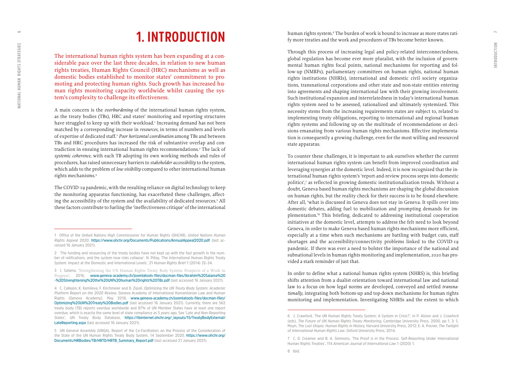Н

## **1. INTRODUCTION**

The international human rights system has been expanding at a con siderable pace over the last three decades, in relation to new human rights treaties, Human Rights Council (HRC) mechanisms as well as domestic bodies established to monitor states' commitment to pro moting and protecting human rights. Such growth has increased hu man rights monitoring capacity worldwide whilst causing the sys tem's complexity to challenge its effectiveness.

A main concern is the *overburdening* of the international human rights system, as the treaty bodies (TBs), HRC and states' monitoring and reporting structures have struggled to keep up with their workload. 1 Increasing demand has not been matched by a corresponding increase in *resources*, in terms of numbers and levels of expertise of dedicated staff. <sup>2</sup> *Poor horizontal coordination* among TBs and between TBs and HRC procedures has increased the risk of substantive overlap and con tradiction in ensuing international human rights recommendations. 3 The lack of *systemic coherence*, with each TB adopting its own working methods and rules of procedures, has raised unnecessary barriers to *stakeholder accessibility* to the system, which adds to the problem of *low visibility* compared to other international human rights mechanisms. 4

The COVID-19 pandemic, with the resulting reliance on digital technology to keep the monitoring apparatus functioning, has exacerbated these challenges, affect ing the accessibility of the system and the availability of dedicated resources. 5 All these factors contribute to fueling the 'ineffectiveness critique' of the international

human rights system.<sup>6</sup> The burden of work is bound to increase as more states ratify more treaties and the work and procedures of TBs become better known.

Through this process of increasing legal and policy-related interconnectedness, global regulation has become ever more pluralist, with the inclusion of govern mental human rights focal points, national mechanisms for reporting and fol low-up (NMRFs), parliamentary committees on human rights, national human rights institutions (NHRIs), international and domestic civil society organiza tions, transnational corporations and other state and non-state entities entering into agreements and shaping international law with their growing involvement. Such institutional expansion and interrelatedness in today's international human rights system need to be assessed, rationalized and ultimately systemized. This necessity stems from the increasing requirements states are subject to, related to implementing treaty obligations, reporting to international and regional human rights systems and following up on the multitude of recommendations or deci sions emanating from various human rights mechanisms. Effective implementa tion is consequently a growing challenge, even for the most willing and resourced state apparatus.

To counter these challenges, it is important to ask ourselves whether the current international human rights system can benefit from improved coordination and leveraging synergies at the domestic level. Indeed, it is now recognized that the in ternational human rights system's 'report-and-review process seeps into domestic politics', 7 as reflected in growing domestic institutionalization trends. Without a doubt, Geneva-based human rights mechanisms are shaping the global discussion on human rights, but the reality check for their success is to be found elsewhere. After all, 'what is discussed in Geneva does not stay in Geneva. It spills over into domestic debates, adding fuel to mobilization and prompting demands for im plementation.' 8 This briefing, dedicated to addressing institutional cooperation initiatives at the domestic level, attempts to address the felt need to look beyond Geneva, in order to make Geneva-based human rights mechanisms more efficient, especially at a time when such mechanisms are battling with budget cuts, staff shortages and the accessibility/connectivity problems linked to the COVID-19 pandemic. If there was ever a need to bolster the importance of the national and subnational levels in human rights monitoring and implementation, 2020 has pro vided a stark reminder of just that.

In order to define what a national human rights system (NHRS) is, this briefing shifts attention from a dualist orientation toward international law and national law to a focus on how legal norms are developed, conveyed and settled *transna tionally*, integrating both bottom-up and top-down mechanisms for human rights monitoring and implementation. Investigating NHRSs and the extent to which

<span id="page-3-0"></span> $\circ$ 

**<sup>1</sup> Office of the United Nations High Commissioner for Human Rights (OHCHR),** *United Nations Human Rights Appeal 2020***, <https://www.ohchr.org/Documents/Publications/AnnualAppeal2020.pdf>(last ac cessed 16 January 2021).**

**<sup>2 &#</sup>x27;The funding and resourcing of the treaty bodies have not kept up with the fast growth in the num ber of ratifications, and the system now risks collapse'. N. Pillay, 'The International Human Rights Treaty System: Impact at the Domestic and International Levels', 21** *Human Rights Brief* **1 (2014) 32–34.**

**<sup>3</sup> I. Salama, '**Strengthening the UN Human Rights Treaty Body System: Prospects of a Work in Progress**', 2016, [www.geneva-academy.ch/joomlatools-files/docman-files/Ibrahim%20Salama%20](https://www.geneva-academy.ch/joomlatools-files/docman-files/Ibrahim%20Salama%20-%20Strenghtening%20the%20UN%20human%20rights%20TBs.pdf) [-%20Strenghtening%20the%20UN%20human%20rights%20TBs.pdf](https://www.geneva-academy.ch/joomlatools-files/docman-files/Ibrahim%20Salama%20-%20Strenghtening%20the%20UN%20human%20rights%20TBs.pdf) (last accessed 16 January 2021).**

**<sup>4</sup> C. Callejon, K. Kemileva, F. Kirchmeier and D. Zipoli,** *Optimizing the UN Treaty Body System: Academic Platform Report on the 2020 Review***, Geneva Academy of International Humanitarian Law and Human Rights (Geneva Academy), May 2018, [www.geneva-academy.ch/joomlatools-files/docman-files/](https://www.geneva-academy.ch/joomlatools-files/docman-files/Optimizing%20UN%20Treaty%20Bodies.pdf) [Optimizing%20UN%20Treaty%20Bodies.pdf](https://www.geneva-academy.ch/joomlatools-files/docman-files/Optimizing%20UN%20Treaty%20Bodies.pdf) (last accessed 16 January 2021). Currently, there are 562 treaty body (TB) reports overdue worldwide and 87% of UN Member States have at least one report overdue, which is exactly the same level of state compliance as 5 years ago. See 'Late and Non-Reporting States', UN Treaty Body Database, [https://tbinternet.ohchr.org/\\_layouts/15/TreatyBodyExternal/](https://tbinternet.ohchr.org/_layouts/15/TreatyBodyExternal/LateReporting.aspx) [LateReporting.aspx](https://tbinternet.ohchr.org/_layouts/15/TreatyBodyExternal/LateReporting.aspx) (last accessed 16 January 2021).**

**<sup>5</sup> UN General Assembly (UNGA), Report of the Co-Facilitators on the Process of the Consideration of the State of the UN Human Rights Treaty Body System, 14 September 2020, [https://www.ohchr.org/](https://www.ohchr.org/Documents/HRBodies/TB/HRTD/HRTB_Summary_Report.pdf) [Documents/HRBodies/TB/HRTD/HRTB\\_Summary\\_Report.pdf](https://www.ohchr.org/Documents/HRBodies/TB/HRTD/HRTB_Summary_Report.pdf) (last accessed 21 January 2021).**

**<sup>6</sup> J. Crawford, 'The UN Human Rights Treaty System: A System in Crisis?', in P. Alston and J. Crawford (eds),** *The Future of UN Human Rights Treaty Monitoring***, Cambridge University Press, 2000, pp 1, 3; S. Moyn,** *The Last Utopia: Human Rights in History,* **Harvard University Press, 2012; E. A. Posner,** *The Twilight* 

*of International Human Rights Law***, Oxford University Press, 2014. 7 C. D. Creamer and B. A. Simmons, 'The Proof is in the Process: Self-Reporting Under International Human Rights Treaties', 114** *American Journal of International Law* **1 (2020) 1.**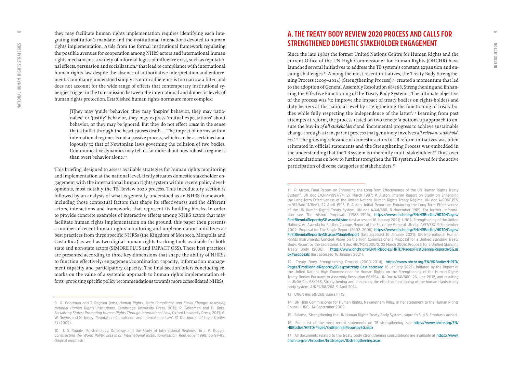$\circ$ 

they may facilitate human rights implementation requires identifying each inte grating institution's mandate and the institutional interactions devoted to human rights implementation. Aside from the formal institutional framework regulating the possible avenues for cooperation among NHRS actors and international human rights mechanisms, a variety of informal logics of influence exist, such as reputatio nal effects, persuasion and socialization,<sup>9</sup> that lead to compliance with international human rights law despite the absence of authoritative interpretation and enforce ment. Compliance understood simply as norm-adherence is too narrow a filter, and does not account for the wide range of effects that contemporary institutional sy nergies trigger in the transmission between the international and domestic levels of human rights protection. Established human rights norms are more complex:

[T]hey may 'guide' behavior, they may 'inspire' behavior, they may 'ratio nalize' or 'justify' behavior, they may express 'mutual expectations' about behavior, or they may be ignored. But they do not effect *cause* in the sense that a bullet through the heart causes death … The impact of norms within international regimes is not a passive process, which can be ascertained ana logously to that of Newtonian laws governing the collision of two bodies. Communicative dynamics may tell us far more about how robust a regime is than overt behavior alone.<sup>10</sup>

This briefing, designed to assess available strategies for human rights monitoring and implementation at the national level, firstly situates domestic stakeholder en gagement with the international human rights system within recent policy devel opments, most notably the TB Review 2020 process. This introductory section is followed by an analysis of what is generally understood as an NHRS framework, including those contextual factors that shape its effectiveness and the different actors, interactions and frameworks that represent its building blocks. In order to provide concrete examples of interactive effects among NHRS actors that may facilitate human rights implementation on the ground, this paper then presents a number of recent human rights monitoring and implementation initiatives as best practices from three specific NHRSs (the Kingdom of Morocco, Mongolia and Costa Rica) as well as two digital human rights tracking tools available for both state and non-state actors (SIMORE PLUS and IMPACT OSS). These best practices are presented according to three key dimensions that shape the ability of NHRSs to function effectively: engagement/coordination capacity, information manage ment capacity and participatory capacity. The final section offers concluding re marks on the value of a systemic approach to human rights implementation efforts, proposing specific policy recommendations towards more consolidated NHRSs.

## **A. THE TREATY BODY REVIEW 2020 PROCESS AND CALLS FOR STRENGTHENED DOMESTIC STAKEHOLDER ENGAGEMENT**

Since the late 1980s the former United Nations Centre for Human Rights and the current Office of the UN High Commissioner for Human Rights (OHCHR) have launched several initiatives to address the TB system's constant expansion and en suing challenges.<sup>11</sup> Among the most recent initiatives, the Treaty Body Strengthening Process (2009–2014) (Strengthening Process),<sup>12</sup> created a momentum that led to the adoption of General Assembly Resolution 68/268, Strengthening and Enhan cing the Effective Functioning of the Treaty Body System.13 The ultimate objective of the process was 'to improve the impact of treaty bodies on rights-holders and duty-bearers at the national level by strengthening the functioning of treaty bo dies while fully respecting the independence of the latter'.14 Learning from past attempts at reform, the process rested on two tenets: 'a bottom-up approach to en sure the buy-in *of all stakeholders'* and 'incremental progress to achieve sustainable change through a transparent process that genuinely involves *all relevant stakehold ers'*. <sup>15</sup> The growing relevance of domestic actors to TB reform initiatives was often reiterated in official statements and the Strengthening Process was embedded in the understanding that the TB system is inherently multi-stakeholder.<sup>16</sup> Thus, over 20 consultations on how to further strengthen the TB system allowed for the active participation of diverse categories of stakeholders.<sup>17</sup>

**13 UNGA Res 68/268, supra fn 12.**

<span id="page-4-0"></span> $\infty$ 

**<sup>9</sup> R. Goodman and T. Pegram (eds),** *Human Rights, State Compliance and Social Change: Assessing National Human Rights Institutions***, Cambridge University Press, 2012; R. Goodman and D. Jinks,**  *Socializing States: Promoting Human Rights Through International Law***, Oxford University Press, 2013; G. W. Downs and M. Jones. 'Reputation, Compliance, and International Law', 31** *The Journal of Legal Studies* **S1 (2002).** 

**<sup>10</sup> J. G. Ruggie, 'Epistemology, Ontology and the Study of International Regimes', in J. G. Ruggie,**  *Constructing the World Polity: Essays on International Institutionalisation***, Routledge, 1998, pp 97–98. Original emphasis.**

**<sup>11</sup> P. Alston, Final Report on Enhancing the Long-Term Effectiveness of the UN Human Rights Treaty System", UN doc E/CN.4/1997/74, 27 March 1997; P. Alston, Interim Report on Study on Enhancing the Long-Term Effectiveness of the United Nations Human Rights Treaty Régime, UN doc A/CONF.157/ pc/62/Add.11/Rev.1, 22 April 1993; P. Alston, Initial Report on Enhancing the Long-Term Effectiveness of the UN Human Rights Treaty System, UN doc A/44/668, 8 November 1989. For further informa tion see The Alston Proposals (1988–1996), https://www.ohchr.org/EN/HRBodies/HRTD/Pages/ FirstBiennialReportbySG.aspx#Alston (last accessed 16 January 2021); UNGA, Strengthening of the United Nations: An Agenda for Further Change, Report of the Secretary-General, UN doc A/57/387, 9 September 2002; Proposal for The Single Report (2002–2006), https://www.ohchr.org/EN/HRBodies/HRTD/Pages/ FirstBiennialReportbySG.aspx#SingleReport (last accessed 16 January 2021); UN International Human Rights Instruments, Concept Paper on the High Commissioner's Proposal for a Unified Standing Treaty Body, Report by the Secretariat, UN doc HRI/MC/2006/2, 22 March 2006; Proposal for a Unified Standing Treaty Body (2006), https://www.ohchr.org/EN/HRBodies/HRTD/Pages/FirstBiennialReportbySG.as px#proposals (last accessed 16 January 2021).**

**<sup>12</sup> Treaty Body Strengthening Process (2009–2014), https://www.ohchr.org/EN/HRBodies/HRTD/** Pages/FirstBiennialReportbySG.aspx#treaty (last accessed 16 January 2021), initiated by the Report of **the United Nations High Commissioner for Human Rights on the Strengthening of the Human Rights Treaty Bodies Pursuant to Assembly Resolution 66/254, UN Doc A/66/860, 26 June 2012, and resulting in UNGA Res 68/268, Strengthening and enhancing the effective functioning of the human rights treaty body system, A/RES/68/268, 9 April 2014.** 

**<sup>14</sup> UN High Commissioner for Human Rights, Navanethem Pillay, in her statement to the Human Rights Council (HRC), 14 September 2009.** 

**<sup>15</sup> Salama, 'Strengthening the UN Human Rights Treaty Body System', supra fn 3, p 5. Emphasis added.**

**<sup>16</sup> For a list of the most recent statements on TB strengthening, see [https://www.ohchr.org/EN/](https://www.ohchr.org/EN/HRBodies/HRTD/Pages/3rdBiennialReportbySG.aspx) [HRBodies/HRTD/Pages/3rdBiennialReportbySG.aspx](https://www.ohchr.org/EN/HRBodies/HRTD/Pages/3rdBiennialReportbySG.aspx)**

**<sup>17</sup> All documents related to the treaty body strengthening consultations are available at https://www. ohchr.org/en/hrbodies/hrtd/pages/tbstrengthening.aspx.**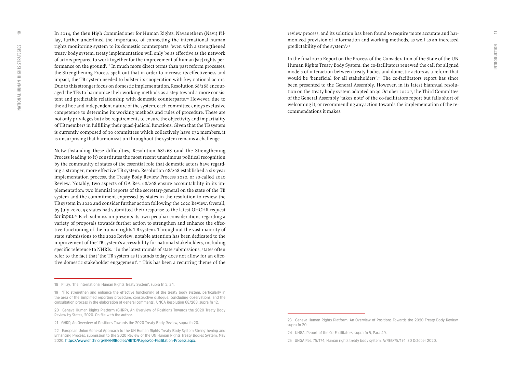$\subseteq$ 

In 2014, the then High Commissioner for Human Rights, Navanethem (Navi) Pillay, further underlined the importance of connecting the international human rights monitoring system to its domestic counterparts: 'even with a strengthened treaty body system, treaty implementation will only be as effective as the network of actors prepared to work together for the improvement of human [sic] rights performance on the ground'.18 In much more direct terms than past reform processes, the Strengthening Process spelt out that in order to increase its effectiveness and impact, the TB system needed to bolster its cooperation with key national actors. Due to this stronger focus on domestic implementation, Resolution 68/268 encouraged the TBs to harmonize their working methods as a step toward a more consistent and predictable relationship with domestic counterparts.<sup>19</sup> However, due to the ad hoc and independent nature of the system, each committee enjoys exclusive competence to determine its working methods and rules of procedure. These are not only privileges but also requirements to ensure the objectivity and impartiality of TB members in fulfilling their quasi-judicial functions. Given that the TB system is currently composed of 10 committees which collectively have 172 members, it is unsurprising that harmonization throughout the system remains a challenge.

Notwithstanding these difficulties, Resolution 68/268 (and the Strengthening Process leading to it) constitutes the most recent unanimous political recognition by the community of states of the essential role that domestic actors have regarding a stronger, more effective TB system. Resolution 68/268 established a six-year implementation process, the Treaty Body Review Process 2020, or so-called 2020 Review. Notably, two aspects of GA Res. 68/268 ensure accountability in its implementation: two biennial reports of the secretary-general on the state of the TB system and the commitment expressed by states in the resolution to review the TB system in 2020 and consider further action following the 2020 Review. Overall, by July 2020, 55 states had submitted their response to the latest OHCHR request for input.<sup>20</sup> Each submission presents its own peculiar considerations regarding a variety of proposals towards further action to strengthen and enhance the effective functioning of the human rights TB system. Throughout the vast majority of state submissions to the 2020 Review, notable attention has been dedicated to the improvement of the TB system's accessibility for national stakeholders, including specific reference to NHRIs.<sup>21</sup> In the latest rounds of state submissions, states often refer to the fact that 'the TB system as it stands today does not allow for an effective domestic stakeholder engagement'.<sup>22</sup> This has been a recurring theme of the

review process, and its solution has been found to require 'more accurate and harmonized provision of information and working methods, as well as an increased predictability of the system'.23

In the final 2020 Report on the Process of the Consideration of the State of the UN Human Rights Treaty Body System, the co-facilitators renewed the call for aligned models of interaction between treaty bodies and domestic actors as a reform that would be 'beneficial for all stakeholders'.<sup>24</sup> The co-facilitators report has since been presented to the General Assembly. However, in its latest biannual resolution on the treaty body system adopted on 30 October 2020<sup>25</sup>, the Third Committee of the General Assembly 'takes note' of the co-facilitators report but falls short of welcoming it, or recommending any action towards the implementation of the recommendations it makes.

**<sup>18</sup> Pillay, 'The International Human Rights Treaty System', supra fn 2, 34.**

**<sup>19 &#</sup>x27;[T]o strengthen and enhance the effective functioning of the treaty body system, particularly in the area of the simplified reporting procedure, constructive dialogue, concluding observations, and the consultation process in the elaboration of general comments'. UNGA Resolution 68/268, supra fn 12.**

**<sup>20</sup> Geneva Human Rights Platform (GHRP), An Overview of Positions Towards the 2020 Treaty Body Review by States, 2020. On file with the author.** 

**<sup>21</sup> GHRP, An Overview of Positions Towards the 2020 Treaty Body Review, supra fn 20.**

**<sup>22</sup> European Union General Approach to the UN Human Rights Treaty Body System Strengthening and Enhancing Process, submission to the 2020 Review of the UN Human Rights Treaty Bodies System, May 2020, https://www.ohchr.org/EN/HRBodies/HRTD/Pages/Co-Facilitation-Process.aspx.**

**<sup>23</sup> Geneva Human Rights Platform, An Overview of Positions Towards the 2020 Treaty Body Review, supra fn 20.**

**<sup>24</sup> UNGA, Report of the Co-Facilitators, supra fn 5, Para 49.**

**<sup>25</sup> UNGA Res. 75/174, Human rights treaty body system, A/RES/75/174, 30 October 2020.**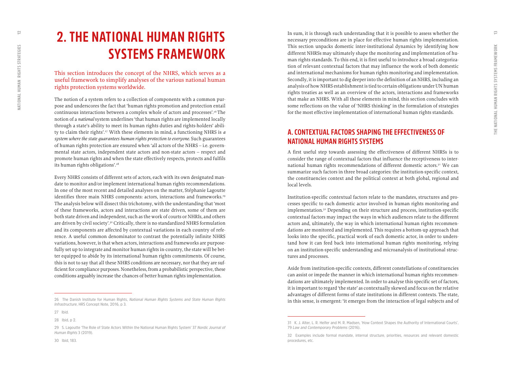## <span id="page-6-0"></span>**2. THE NATIONAL HUMAN RIGHTS SYSTEMS FRAMEWORK**

This section introduces the concept of the NHRS, which serves as a useful framework to simplify analyses of the various national human rights protection systems worldwide.

The notion of a system refers to a collection of components with a common pur pose and underscores the fact that 'human rights promotion and protection entail continuous interactions between a complex whole of actors and processes'.26 The notion of a *national* system underlines 'that human rights are implemented locally through a state's ability to meet its human rights duties and rights-holders' abili ty to claim their rights'.27 With these elements in mind, a functioning NHRS is *a system where the state guarantees human rights protection to everyone*. Such guarantees of human rights protection are ensured when 'all actors of the NHRS – i.e. govern mental state actors, independent state actors and non-state actors – respect and promote human rights and when the state effectively respects, protects and fulfils its human rights obligations'.28

Every NHRS consists of different sets of actors, each with its own designated man date to monitor and/or implement international human rights recommendations. In one of the most recent and detailed analyses on the matter, Stéphanie Lagoutte identifies three main NHRS components: actors, interactions and frameworks.<sup>29</sup> The analysis below will dissect this trichotomy, with the understanding that 'most of these frameworks, actors and interactions are state driven, some of them are both state driven and independent, such as the work of courts or NHRIs, and others are driven by civil society'.<sup>30</sup> Critically, there is no standardized NHRS formulation and its components are affected by contextual variations in each country of refe rence. A useful common denominator to contrast the potentially infinite NHRS variations, however, is that when actors, interactions and frameworks are purpose fully set up to integrate and monitor human rights in-country, the state will be bet ter equipped to abide by its international human rights commitments. Of course, this is not to say that all these NHRS conditions are necessary, nor that they are sufficient for compliance purposes. Nonetheless, from a probabilistic perspective, these conditions arguably increase the chances of better human rights implementation.

In sum, it is through such understanding that it is possible to assess whether the necessary preconditions are in place for effective human rights implementation. This section unpacks domestic inter-institutional dynamics by identifying how different NHRSs may ultimately shape the monitoring and implementation of hu man rights standards. To this end, it is first useful to introduce a broad categoriza tion of relevant contextual factors that may influence the work of both domestic and international mechanisms for human rights monitoring and implementation. Secondly, it is important to dig deeper into the definition of an NHRS, including an analysis of how NHRS establishment is tied to certain obligations under UN human rights treaties as well as an overview of the actors, interactions and frameworks that make an NHRS. With all these elements in mind, this section concludes with some reflections on the value of 'NHRS thinking' in the formulation of strategies for the most effective implementation of international human rights standards.

## **A. CONTEXTUAL FACTORS SHAPING THE EFFECTIVENESS OF NATIONAL HUMAN RIGHTS SYSTEMS**

A first useful step towards assessing the effectiveness of different NHRSs is to consider the range of contextual factors that influence the receptiveness to inter national human rights recommendations of different domestic actors.<sup>31</sup> We can summarize such factors in three broad categories: the institution-specific context, the constituencies context and the political context at both global, regional and local levels.

Institution-specific contextual factors relate to the mandates, structures and pro cesses specific to each domestic actor involved in human rights monitoring and implementation.32 Depending on their structure and process, institution-specific contextual factors may impact the ways in which audiences relate to the different actors and, ultimately, the way in which international human rights recommen dations are monitored and implemented. This requires a bottom-up approach that looks into the specific, practical work of each domestic actor, in order to unders tand how it can feed back into international human rights monitoring, relying on an institution-specific understanding and microanalysis of institutional struc tures and processes.

Aside from institution-specific contexts, different constellations of constituencies can assist or impede the manner in which international human rights recommen dations are ultimately implemented. In order to analyse this specific set of factors, it is important to regard 'the state' as contextually skewed and focus on the relative advantages of different forms of state institutions in different contexts. The state, in this sense, is emergent: 'it emerges from the interaction of legal subjects and of

**<sup>26</sup> The Danish Institute for Human Rights,** *National Human Rights Systems and State Human Rights Infrastructure***, HRS Concept Note, 2016, p 3.** 

**<sup>27</sup> Ibid.** 

**<sup>28</sup> Ibid, p 2.** 

**<sup>29</sup> S. Lagoutte 'The Role of State Actors Within the National Human Rights System' 37** *Nordic Journal of Human Rights* **3 (2019).**

**<sup>31</sup> K. J. Alter, L. R. Helfer and M. R. Madsen, 'How Context Shapes the Authority of International Courts', 79** *Law and Contemporary Problems* **(2016).**

**<sup>32</sup> Examples include formal mandate, internal structure, priorities, resources and relevant domestic procedures, etc.**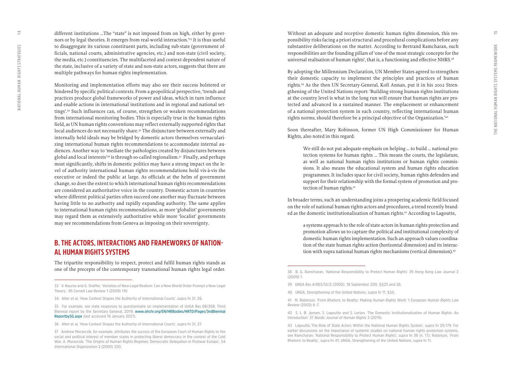<span id="page-7-0"></span>different institutions …The "state" is not imposed from on high, either by gover nors or by legal theories. It emerges from real-world interaction.'33 It is thus useful to disaggregate its various constituent parts, including sub-state (government officials, national courts, administrative agencies, etc.) and non-state (civil society, the media, etc.) constituencies. The multifaceted and context-dependent nature of the state, inclusive of a variety of state and non-state actors, suggests that there are multiple pathways for human rights implementation.

Monitoring and implementation efforts may also see their success bolstered or hindered by specific political contexts. From a geopolitical perspective, 'trends and practices produce global frameworks of power and ideas, which in turn influence and enable actions in international institutions and in regional and national set tings'.34 Such influences can, of course, strengthen or weaken recommendations from international monitoring bodies. This is especially true in the human rights field, as UN human rights conventions may reflect externally supported rights that local audiences do not necessarily share.<sup>35</sup> The disjuncture between externally and internally held ideals may be bridged by domestic actors themselves vernaculari zing international human rights recommendations to accommodate internal au diences. Another way to 'mediate the pathologies created by disjunctures between global and local interests'36 is through so-called regionalism.37 Finally, and perhaps most significantly, shifts in domestic politics may have a strong impact on the le vel of authority international human rights recommendations hold vis-à-vis the executive or indeed the public at large. As officials at the helm of government change, so does the extent to which international human rights recommendations are considered an authoritative voice in the country. Domestic actors in countries where different political parties often succeed one another may fluctuate between having little to no authority and rapidly expanding authority. The same applies to international human rights recommendations, as more 'globalist' governments may regard them as extensively authoritative while more 'localist' governments may see recommendations from Geneva as imposing on their sovereignty.

## **B. THE ACTORS, INTERACTIONS AND FRAMEWORKS OF NATION - AL HUMAN RIGHTS SYSTEMS**

The tripartite responsibility to respect, protect and fulfil human rights stands as one of the precepts of the contemporary transnational human rights legal order.

Without an adequate and receptive domestic human rights dimension, this res ponsibility risks facing a priori structural and procedural complications before any substantive deliberations on the matter. According to Bertrand Ramcharan, such responsibilities are the founding pillars of 'one of the most strategic concepts for the universal realisation of human rights', that is, a functioning and effective NHRS.<sup>38</sup>

By adopting the Millennium Declaration, UN Member States agreed to strengthen their domestic capacity to implement the principles and practices of human rights.39 As the then UN Secretary-General, Kofi Annan, put it in his 2002 Stren gthening of the United Nations report: 'Building strong human rights institutions at the country level is what in the long run will ensure that human rights are pro tected and advanced in a sustained manner. The emplacement or enhancement of a national protection system in each country, reflecting international human rights norms, should therefore be a principal objective of the Organization.'40

Soon thereafter, Mary Robinson, former UN High Commissioner for Human Rights, also noted in this regard:

We still do not put adequate emphasis on helping … to build … national pro tection systems for human rights … This means the courts, the legislature, as well as national human rights institutions or human rights commis sions. It also means the educational system and human rights education programmes. It includes space for civil society, human rights defenders and support for their relationship with the formal system of promotion and pro tection of human rights.<sup>41</sup>

In broader terms, such an understanding joins a prospering academic field focused on the role of national human rights actors and procedures, a trend recently brand ed as the domestic institutionalization of human rights.42 According to Lagoutte,

a systems approach to the role of state actors in human rights protection and promotion allows us to capture the political and institutional complexity of domestic human rights implementation. Such an approach values coordina tion of the state human rights action (horizontal dimension) and its interac tion with supra national human rights mechanisms (vertical dimension).<sup>43</sup>

**<sup>33</sup> V. Nourse and G. Shaffer, 'Varieties of New Legal Realism: Can a New World Order Prompt a New Legal Theory', 95 Cornell Law Review 1 (2009) 110**

**<sup>34</sup> Alter et al, 'How Context Shapes the Authority of International Courts', supra fn 31, 26.**

**<sup>35</sup> For example, see state responses to questionnaire on implementation of UnGA Res 68/268, Third Biennial report by the Secretary General, 2019, [www.ohchr.org/EN/HRBodies/HRTD/Pages/3rdBiennial](http://www.ohchr.org/EN/HRBodies/HRTD/Pages/3rdBiennialReportbySG.aspx) [ReportbySG.aspx](http://www.ohchr.org/EN/HRBodies/HRTD/Pages/3rdBiennialReportbySG.aspx) (last accessed 16 January 2021).**

**<sup>36</sup> Alter et al, 'How Context Shapes the Authority of International Courts', supra fn 31, 27.**

**<sup>37</sup> Andrew Moravcsik, for example, attributes the success of the European Court of Human Rights to the social and political interest of member states in protecting liberal democracy in the context of the Cold War. A. Moravcsik, 'The Origins of Human Rights Regimes: Democratic Delegation in Postwar Europe', 54**  *International Organization* **2 (2000) 220.**

**<sup>38</sup> B. G. Ramcharan, 'National Responsibility to Protect Human Rights' 39** *Hong Kong Law Journal* **2 (2009) 1.** 

**<sup>39</sup> UNGA Res A/RES/55/2 (2000), 18 September 200, §§25 and 26.**

**<sup>40</sup> UNGA, Strengthening of the United Nations, supra fn 11, §50.** 

**<sup>41</sup> M. Robinson, 'From Rhetoric to Reality: Making Human Rights Work' 1** *European Human Rights Law Review* **(2003) 6–7.**

**<sup>42</sup> S. L. B. Jensen, S. Lagoutte and S. Lorion, 'The Domestic Institutionalisation of Human Rights: An Introduction' 37** *Nordic Journal of Human Rights* **3 (2019).**

**<sup>43</sup> Lagoutte, 'The Role of State Actors Within the National Human Rights System', supra fn 29, 179. For earlier discussions on the importance of systemic studies on national human rights protection systems, see Ramcharan, 'National Responsibility to Protect Human Rights', supra fn 38 (n. 17); Robinson, 'From Rhetoric to Reality', supra fn 41; UNGA, Strengthening of the United Nations, supra fn 11.**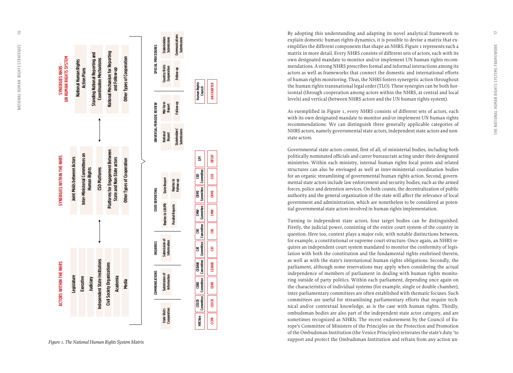

**UN CHARTER**

**UN CHARTER** 

**OPCAT**

**CED**

**CRPD**

**CMW**

**CRC**

**CAT**

**CEDAW**

**CERD**

**CESCR**

**CCPR**

By adopting this understanding and adapting its novel analytical framework to explain domestic human rights dynamics, it is possible to devise a matrix that ex emplifies the different components that shape an NHRS. Figure 1 represents such a matrix in more detail. Every NHRS consists of different sets of actors, each with its own designated mandate to monitor and/or implement UN human rights recom mendations. A strong NHRS prescribes formal and informal interactions among its actors as well as frameworks that connect the domestic and international efforts of human rights monitoring. Thus, the NHRS fosters synergetic action throughout the human rights transnational legal order (TLO). These synergies can be both hor izontal (through cooperation among actors within the NHRS, at central and local levels) and vertical (between NHRS actors and the UN human rights system).

As exemplified in Figure 1, every NHRS consists of different sets of actors, each with its own designated mandate to monitor and/or implement UN human rights recommendations. We can distinguish three generally applicable categories of NHRS actors, namely governmental state actors, independent state actors and nonstate actors.

Governmental state actors consist, first of all, of ministerial bodies, including both politically nominated officials and career bureaucrats acting under their designated ministries. Within each ministry, internal human rights focal points and related structures can also be envisaged as well as inter-ministerial coordination bodies for an organic streamlining of governmental human rights action. Second, govern mental state actors include law enforcement and security bodies, such as the armed forces, police and detention services. On both counts, the decentralization of public authority and the general organization of the state will affect the relevance of local government and administration, which are nonetheless to be considered as poten tial governmental state actors involved in human rights implementation.

Turning to independent state actors, four target bodies can be distinguished. Firstly, the judicial power, consisting of the entire court system of the country in question. Here too, context plays a major role, with notable distinctions between, for example, a constitutional or supreme court structure. Once again, an NHRS re quires an independent court system mandated to monitor the conformity of legis lation with both the constitution and the fundamental rights enshrined therein, as well as with the state's international human rights obligations. Secondly, the parliament, although some reservations may apply when considering the actual independence of members of parliament in dealing with human rights monito ring outside of party politics. Within each parliament, depending once again on the characteristics of individual systems (for example, single or double chamber), inter-parliamentary committees are often established with thematic focuses. Such committees are useful for streamlining parliamentary efforts that require tech nical and/or contextual knowledge, as is the case with human rights. Thirdly, ombudsman bodies are also part of the independent state actor category, and are sometimes recognized as NHRIs. The recent endorsement by the Council of Eu rope's Committee of Ministers of the Principles on the Protection and Promotion of the Ombudsman Institution (the Venice Principles) reiterates the state's duty 'to support and protect the Ombudsman Institution and refrain from any action un -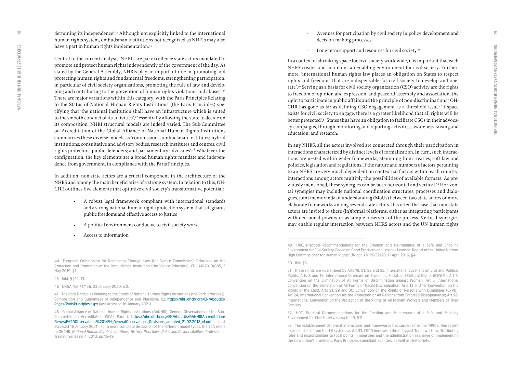dermining its independence'.44 Although not explicitly linked to the international human rights system, ombudsman institutions not recognized as NHRIs may also have a part in human rights implementation.<sup>45</sup>

Central to the current analysis, NHRIs are par excellence state actors mandated to promote and protect human rights independently of the government of the day. As stated by the General Assembly, NHRIs play an important role in 'promoting and protecting human rights and fundamental freedoms, strengthening participation, in particular of civil society organizations, promoting the rule of law and develo ping and contributing to the prevention of human rights violations and abuses'.46 There are major variations within this category, with the Paris Principles Relating to the Status of National Human Rights Institutions (the Paris Principles) spe cifying that 'the national institution shall have an infrastructure which is suited to the smooth conduct of its activities',<sup>47</sup> essentially allowing the state to decide on its composition. NHRI structural models are indeed varied. The Sub-Committee on Accreditation of the Global Alliance of National Human Rights Institutions summarizes these diverse models as 'commissions; ombudsman institutes; hybrid institutions; consultative and advisory bodies; research institutes and centres; civil rights protectors; public defenders; and parliamentary advocates'.48 Whatever the configuration, the key elements are a broad human rights mandate and indepen dence from government, in compliance with the Paris Principles.

In addition, non-state actors are a crucial component in the architecture of the NHRS and among the main beneficiaries of a strong system. In relation to this, OH - CHR outlines five elements that optimize civil society's transformative potential: • A robust legal framework compliant with international standards

- and a strong national human rights protection system that safeguards public freedoms and effective access to justice
- A political environment conducive to civil society work Access to information
- 

**45 Ibid, §§12–13.**

- Avenues for participation by civil society in policy development and decision-making processes
- Long-term support and resources for civil society <sup>49</sup>

In a context of shrinking space for civil society worldwide, it is important that each NHRS creates and maintains an enabling environment for civil society. Further more, 'international human rights law places an obligation on States to respect rights and freedoms that are indispensable for civil society to develop and ope rate'.50 Serving as a basis for civil society organization (CSO) activity are the rights to freedom of opinion and expression, and peaceful assembly and association, the right to participate in public affairs and the principle of non-discrimination.51 OH - CHR has gone as far as defining CSO engagement as a threshold issue: 'if space exists for civil society to engage, there is a greater likelihood that all rights will be better protected'.52 States thus have an obligation to facilitate CSOs in their advoca cy campaigns, through monitoring and reporting activities, awareness raising and education, and research.

In any NHRS, all the actors involved are connected through their participation in interactions characterized by distinct levels of formalization. In turn, such interac tions are nested within wider frameworks, stemming from treaties, soft law and policies, legislation and regulations. If the nature and numbers of actors pertaining to an NHRS are very much dependent on contextual factors within each country, interactions among actors multiply the possibilities of available formats. As pre viously mentioned, these synergies can be both horizontal and vertical.53 Horizon tal synergies may include national coordination structures, processes and dialo gues, joint memoranda of understanding (MoUs) between two state actors or more elaborate frameworks among several state actors. It is often the case that non-state actors are invited to these (in)formal platforms, either as integrating participants with decisional powers or as simple observers of the process. Vertical synergies may enable regular interaction between NHRS actors and the UN human rights

 $\approx$ 

**<sup>44</sup> European Commission for Democracy Through Law (the Venice Commission), Principles on the Protection and Promotion of the Ombudsman Institution (the Venice Principles), CDL-AD(2019)005, 3 May 2019, §1.**

**<sup>46</sup> UNGA Res 74/156, 23 January 2020, p 2.**

**<sup>47</sup> The Paris Principles Relating to the Status of National Human Rights Institutions (the Paris Principles), Composition and Guarantees of Independence and Pluralism, §2, [https://nhri.ohchr.org/EN/AboutUs/](https://nhri.ohchr.org/EN/AboutUs/Pages/ParisPrinciples.aspx) [Pages/ParisPrinciples.aspx](https://nhri.ohchr.org/EN/AboutUs/Pages/ParisPrinciples.aspx) (last accessed 16 January 2021).**

**<sup>48</sup> Global Alliance of National Human Rights Institutions (GANHRI), General Observations of the Sub-Committee on Accreditation (SCA), Para 7, [https://nhri.ohchr.org/EN/AboutUs/GANHRIAccreditation/](https://nhri.ohchr.org/EN/AboutUs/GANHRIAccreditation/General%20Observations%201/EN_GeneralObservations_Revisions_adopted_21.02.2018_vf.pdf) [General%20Observations%201/EN\\_GeneralObservations\\_Revisions\\_adopted\\_21.02.2018\\_vf.pdf](https://nhri.ohchr.org/EN/AboutUs/GANHRIAccreditation/General%20Observations%201/EN_GeneralObservations_Revisions_adopted_21.02.2018_vf.pdf) (last accessed 16 January 2021). For a more complete discussion of the different model types, the SCA refers to OHCHR,** *National Human Rights Institutions: History, Principles, Roles and Responsibilities***, Professional Training Series no 4, 2010, pp 15–19.**

**<sup>49</sup> HRC, Practical Recommendations for the Creation and Maintenance of a Safe and Enabling Environment for Civil Society, Based on Good Practices and Lessons Learned, Report of the United Nations High Commissioner for Human Rights, UN doc A/HRC/32/20, 11 April 2016, §4.** 

**<sup>50</sup> Ibid §5.** 

**<sup>51</sup> These rights are guaranteed by Arts 19, 21, 22 and 25, International Covenant on Civil and Political Rights; Arts 8 and 15, International Covenant on Economic, Social and Cultural Rights (ICESCR); Art 3, Convention on the Elimination of All Forms of Discrimination against Women; Art 5, International Convention on the Elimination of All Forms of Racial Discrimination; Arts 13 and 15, Convention on the Rights of the Child; Arts 21, 29 and 30, Convention on the Rights of Persons with Disabilities (CRPD); Art 24, International Convention for the Protection of All Persons from Enforced Disappearance; Art 26, International Convention on the Protection of the Rights of All Migrant Workers and Members of Their Families.**

**<sup>52</sup> HRC, Practical Recommendations for the Creation and Maintenance of a Safe and Enabling Environment for Civil Society, supra fn 49, §11.**

**<sup>53</sup> The establishment of formal interactions and frameworks has surged since the 1990s. One recent example stems from the TB system, as Art 33, CRPD imposes a three-legged 'framework' by distributing roles and responsibilities to focal points in ministries and the administration in charge of implementing the convention's provisions, Paris Principles-compliant agencies, as well as civil society.**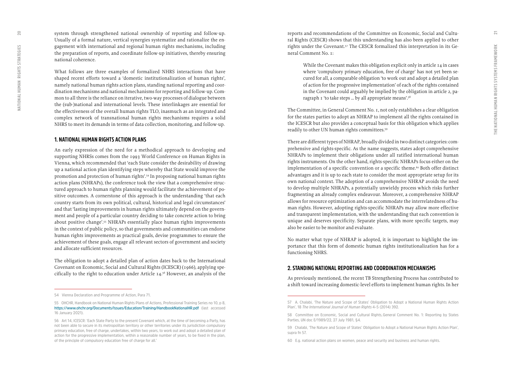<span id="page-10-0"></span>system through strengthened national ownership of reporting and follow-up. Usually of a formal nature, vertical synergies systematize and rationalize the en gagement with international and regional human rights mechanisms, including the preparation of reports, and coordinate follow-up initiatives, thereby ensuring national coherence.

What follows are three examples of formalized NHRS interactions that have shaped recent efforts toward a 'domestic institutionalization of human rights', namely national human rights action plans, standing national reporting and coor dination mechanisms and national mechanisms for reporting and follow-up. Com mon to all three is the reliance on iterative, two-way processes of dialogue between the (sub-)national and international levels. These interlinkages are essential for the effectiveness of the overall human rights TLO, inasmuch as an integrated and complex network of transnational human rights mechanisms requires a solid NHRS to meet its demands in terms of data collection, monitoring, and follow-up.

#### **1. NATIONAL HUMAN RIGHTS ACTION PLANS**

An early expression of the need for a methodical approach to developing and supporting NHRSs comes from the 1993 World Conference on Human Rights in Vienna, which recommended that 'each State consider the desirability of drawing up a national action plan identifying steps whereby that State would improve the promotion and protection of human rights'.54 In proposing national human rights action plans (NHRAPs), the conference took the view that a comprehensive struc tured approach to human rights planning would facilitate the achievement of po sitive outcomes. A cornerstone of this approach is the understanding 'that each country starts from its own political, cultural, historical and legal circumstances' and that 'lasting improvements in human rights ultimately depend on the govern ment and people of a particular country deciding to take concrete action to bring about positive change'.55 NHRAPs essentially place human rights improvements in the context of public policy, so that governments and communities can endorse human rights improvements as practical goals, devise programmes to ensure the achievement of these goals, engage all relevant sectors of government and society and allocate sufficient resources.

The obligation to adopt a detailed plan of action dates back to the International Covenant on Economic, Social and Cultural Rights (ICESCR) (1966), applying spe cifically to the right to education under Article 14.56 However, an analysis of the

reports and recommendations of the Committee on Economic, Social and Cultu ral Rights (CESCR) shows that this understanding has also been applied to other rights under the Covenant.57 The CESCR formalized this interpretation in its Ge neral Comment No. 1:

While the Covenant makes this obligation explicit only in article 14 in cases where 'compulsory primary education, free of charge' has not yet been se cured for all, a comparable obligation 'to work out and adopt a detailed plan of action for the progressive implementation' of each of the rights contained in the Covenant could arguably be implied by the obligation in article 2, pa ragraph 1 'to take steps ... by all appropriate means'.<sup>58</sup>

The Committee, in General Comment No. 1, not only establishes a clear obligation for the states parties to adopt an NHRAP to implement all the rights contained in the ICESCR but also provides a conceptual basis for this obligation which applies readily to other UN human rights committees.59

There are different types of NHRAP, broadly divided in two distinct categories: com prehensive and rights-specific. As the name suggests, states adopt comprehensive NHRAPs to implement their obligations under all ratified international human rights instruments. On the other hand, rights-specific NHRAPs focus either on the implementation of a specific convention or a specific theme.<sup>60</sup> Both offer distinct advantages and it is up to each state to consider the most appropriate setup for its own national context. The adoption of a comprehensive NHRAP avoids the need to develop multiple NHRAPs, a potentially unwieldy process which risks further fragmenting an already complex endeavour. Moreover, a comprehensive NHRAP allows for resource optimization and can accommodate the interrelatedness of hu man rights. However, adopting rights-specific NHRAPs may allow more effective and transparent implementation, with the understanding that each convention is unique and deserves specificity. Separate plans, with more specific targets, may also be easier to be monitor and evaluate.

No matter what type of NHRAP is adopted, it is important to highlight the im portance that this form of domestic human rights institutionalization has for a functioning NHRS.

#### **2. STANDING NATIONAL REPORTING AND COORDINATION MECHANISMS**

As previously mentioned, the recent TB Strengthening Process has contributed to a shift toward increasing domestic-level efforts to implement human rights. In her

**<sup>54</sup> Vienna Declaration and Programme of Action, Para 71.** 

**<sup>55</sup> OHCHR, Handbook on National Human Rights Plans of Actions, Professional Training Series no 10, p 8, <https://www.ohchr.org/Documents/Issues/Education/Training/HandbookNationalHR.pdf>(last accessed 16 January 2021).**

**<sup>56</sup> Art 14, ICESCR: 'Each State Party to the present Covenant which, at the time of becoming a Party, has not been able to secure in its metropolitan territory or other territories under its jurisdiction compulsory primary education, free of charge, undertakes, within two years, to work out and adopt a detailed plan of action for the progressive implementation, within a reasonable number of years, to be fixed in the plan, of the principle of compulsory education free of charge for all.'**

**<sup>57</sup> A. Chalabi, 'The Nature and Scope of States' Obligation to Adopt a National Human Rights Action Plan', 18** *The International Journal of Human Rights* **4–5 (2014) 392.**

**<sup>58</sup> Committee on Economic, Social and Cultural Rights, General Comment No. 1: Reporting by States Parties, UN doc E/1989/22, 27 July 1981, §4.** 

**<sup>59</sup> Chalabi, 'The Nature and Scope of States' Obligation to Adopt a National Human Rights Action Plan', supra fn 57.** 

**<sup>60</sup> E.g. national action plans on women, peace and security and business and human rights.**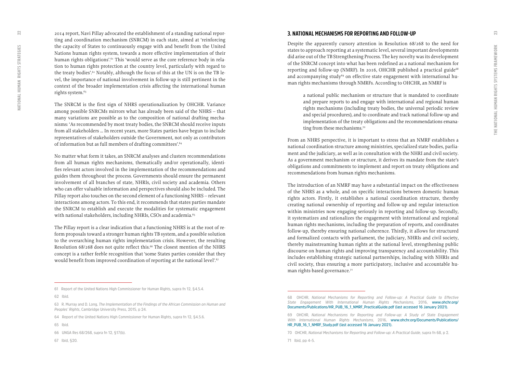<span id="page-11-0"></span>2014 report, Navi Pillay advocated the establishment of a standing national repor ting and coordination mechanism (SNRCM) in each state, aimed at 'reinforcing the capacity of States to continuously engage with and benefit from the United Nations human rights system, towards a more effective implementation of their human rights obligations'.<sup>61</sup> This 'would serve as the core reference body in relation to human rights protection at the country level, particularly with regard to the treaty bodies'.62 Notably, although the focus of this at the UN is on the TB level, the importance of national involvement in follow-up is still pertinent in the context of the broader implementation crisis affecting the international human rights system.<sup>63</sup>

The SNRCM is the first sign of NHRS operationalization by OHCHR. Variance among possible SNRCMs mirrors what has already been said of the NHRS – that many variations are possible as to the composition of national drafting mecha nisms: 'As recommended by most treaty bodies, the SNRCM should receive inputs from all stakeholders … In recent years, more States parties have begun to include representatives of stakeholders outside the Government, not only as contributors of information but as full members of drafting committees'.<sup>64</sup>

No matter what form it takes, an SNRCM analyses and clusters recommendations from all human rights mechanisms, thematically and/or operationally, identi fies relevant actors involved in the implementation of the recommendations and guides them throughout the process. Governments should ensure the permanent involvement of all branches of state, NHRIs, civil society and academia. Others who can offer valuable information and perspectives should also be included. The Pillay report also touches on the second element of a functioning NHRS – relevant interactions among actors. To this end, it recommends that states parties mandate the SNRCM to establish and execute the modalities for systematic engagement with national stakeholders, including NHRIs, CSOs and academia.<sup>65</sup>

The Pillay report is a clear indication that a functioning NHRS is at the root of re form proposals toward a stronger human rights TB system, and a possible solution to the overarching human rights implementation crisis. However, the resulting Resolution 68/268 does not quite reflect this.<sup>66</sup> The closest mention of the NHRS concept is a rather feeble recognition that 'some States parties consider that they would benefit from improved coordination of reporting at the national level'.<sup>67</sup>

#### **3. NATIONAL MECHANISMS FOR REPORTING AND FOLLOW-UP**

Despite the apparently cursory attention in Resolution 68/268 to the need for states to approach reporting at a systematic level, several important developments did arise out of the TB Strengthening Process. The key novelty was its development of the SNRCM concept into what has been redefined as a national mechanism for reporting and follow-up (NMRF). In 2016, OHCHR published a practical guide<sup>68</sup> and accompanying study<sup>69</sup> on effective state engagement with international human rights mechanisms through NMRFs. According to OHCHR, an NMRF is

a national public mechanism or structure that is mandated to coordinate and prepare reports to and engage with international and regional human rights mechanisms (including treaty bodies, the universal periodic review and special procedures), and to coordinate and track national follow-up and implementation of the treaty obligations and the recommendations emana ting from these mechanisms.<sup>70</sup>

From an NHRS perspective, it is important to stress that an NMRF establishes a national coordination structure among ministries, specialized state bodies, parlia ment and the judiciary, as well as in consultation with the NHRI and civil society. As a government mechanism or structure, it derives its mandate from the state's obligations and commitments to implement and report on treaty obligations and recommendations from human rights mechanisms.

The introduction of an NMRF may have a substantial impact on the effectiveness of the NHRS as a whole, and on specific interactions between domestic human rights actors. Firstly, it establishes a national coordination structure, thereby creating national ownership of reporting and follow-up and regular interaction within ministries now engaging seriously in reporting and follow-up. Secondly, it systematizes and rationalizes the engagement with international and regional human rights mechanisms, including the preparation of reports, and coordinates follow-up, thereby ensuring national coherence. Thirdly, it allows for structured and formalized contacts with parliament, the judiciary, NHRIs and civil society, thereby mainstreaming human rights at the national level, strengthening public discourse on human rights and improving transparency and accountability. This includes establishing strategic national partnerships, including with NHRIs and civil society, thus ensuring a more participatory, inclusive and accountable hu man rights-based governance.<sup>71</sup>

**62 Ibid.** 

**67 Ibid, §20.** 

**<sup>61</sup> Report of the United Nations High Commissioner for Human Rights, supra fn 12, §4.5.4.**

**<sup>63</sup> R. Murray and D. Long,** *The Implementation of the Findings of the African Commission on Human and Peoples' Rights***, Cambridge University Press, 2015, p 24.** 

**<sup>64</sup> Report of the United Nations High Commissioner for Human Rights, supra fn 12, §4.5.6.** 

**<sup>65</sup> Ibid.** 

**<sup>66</sup> UNGA Res 68/268, supra fn 12, §17(b).** 

**<sup>68</sup> OHCHR,** *National Mechanisms for Reporting and Follow-up: A Practical Guide to Effective State Engagement With International Human Rights Mechanisms***, 2016, [www.ohchr.org/](https://www.ohchr.org/Documents/Publications/HR_PUB_16_1_NMRF_PracticalGuide.pdf) [Documents/Publications/HR\\_PUB\\_16\\_1\\_NMRF\\_PracticalGuide.pdf](https://www.ohchr.org/Documents/Publications/HR_PUB_16_1_NMRF_PracticalGuide.pdf) (last accessed 16 January 2021).**

**<sup>69</sup> OHCHR,** *National Mechanisms for Reporting and Follow-up: A Study of State Engagement With International Human Rights Mechanisms***, 2016, [www.ohchr.org/Documents/Publications/](https://www.ohchr.org/Documents/Publications/HR_PUB_16_1_NMRF_Study.pdf) [HR\\_PUB\\_16\\_1\\_NMRF\\_Study.pdf](https://www.ohchr.org/Documents/Publications/HR_PUB_16_1_NMRF_Study.pdf) (last accessed 16 January 2021).**

**<sup>70</sup> OHCHR,** *National Mechanisms for Reporting and Follow-up: A Practical Guide***, supra fn 68, p 2.**

**<sup>71</sup> Ibid, pp 4–5.**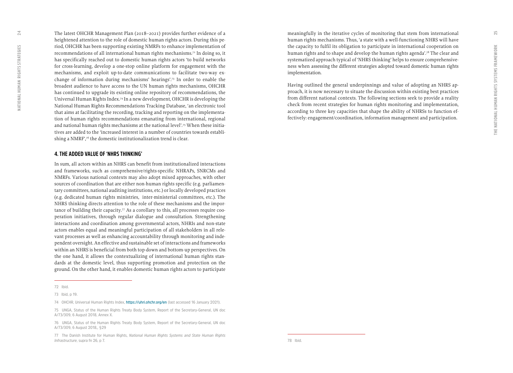<span id="page-12-0"></span>The latest OHCHR Management Plan (2018–2021) provides further evidence of a heightened attention to the role of domestic human rights actors. During this pe riod, OHCHR has been supporting existing NMRFs to enhance implementation of recommendations of all international human rights mechanisms.72 In doing so, it has specifically reached out to domestic human rights actors 'to build networks for cross-learning, develop a one-stop online platform for engagement with the mechanisms, and exploit up-to-date communications to facilitate two-way ex change of information during mechanisms' hearings'.73 In order to enable the broadest audience to have access to the UN human rights mechanisms, OHCHR has continued to upgrade its existing online repository of recommendations, the Universal Human Rights Index.74 In a new development, OHCHR is developing the National Human Rights Recommendations Tracking Database, 'an electronic tool that aims at facilitating the recording, tracking and reporting on the implementa tion of human rights recommendations emanating from international, regional and national human rights mechanisms at the national level'.75 When these initia tives are added to the 'increased interest in a number of countries towards establi shing a NMRF',<sup>76</sup> the domestic institutionalization trend is clear.

#### **4. THE ADDED VALUE OF 'NHRS THINKING'**

In sum, all actors within an NHRS can benefit from institutionalized interactions and frameworks, such as comprehensive/rights-specific NHRAPs, SNRCMs and NMRFs. Various national contexts may also adopt mixed approaches, with other sources of coordination that are either non-human rights specific (e.g. parliamen tary committees, national auditing institutions, etc.) or locally developed practices (e.g. dedicated human rights ministries, inter-ministerial committees, etc.). The NHRS thinking directs attention to the role of these mechanisms and the impor tance of building their capacity.77 As a corollary to this, all processes require coo peration initiatives, through regular dialogue and consultation. Strengthening interactions and coordination among governmental actors, NHRIs and non-state actors enables equal and meaningful participation of all stakeholders in all rele vant processes as well as enhancing accountability through monitoring and inde pendent oversight. An effective and sustainable set of interactions and frameworks within an NHRS is beneficial from both top-down and bottom-up perspectives. On the one hand, it allows the contextualizing of international human rights stan dards at the domestic level, thus supporting promotion and protection on the ground. On the other hand, it enables domestic human rights actors to participate meaningfully in the iterative cycles of monitoring that stem from international human rights mechanisms. Thus, 'a state with a well-functioning NHRS will have the capacity to fulfil its obligation to participate in international cooperation on human rights and to shape and develop the human rights agenda'.78 The clear and systematized approach typical of 'NHRS thinking' helps to ensure comprehensive ness when assessing the different strategies adopted toward domestic human rights implementation.

Having outlined the general underpinnings and value of adopting an NHRS ap proach, it is now necessary to situate the discussion within existing best practices from different national contexts. The following sections seek to provide a reality check from recent strategies for human rights monitoring and implementation, according to three key capacities that shape the ability of NHRSs to function effectively: engagement/coordination, information management and participation.

 $25$ 

**<sup>72</sup> Ibid.** 

**<sup>73</sup> Ibid, p 19.** 

**<sup>74</sup> OHCHR, Universal Human Rights Index, <https://uhri.ohchr.org/en> (last accessed 16 January 2021).**

**<sup>75</sup> UNGA, Status of the Human Rights Treaty Body System, Report of the Secretary-General, UN doc A/73/309, 6 August 2018, Annex X.**

**<sup>76</sup> UNGA, Status of the Human Rights Treaty Body System, Report of the Secretary-General, UN doc A/73/309, 6 August 2018,, §29** 

**<sup>77</sup> The Danish Institute for Human Rights,** *National Human Rights Systems and State Human Rights Infrastructure***, supra fn 26, p 7.**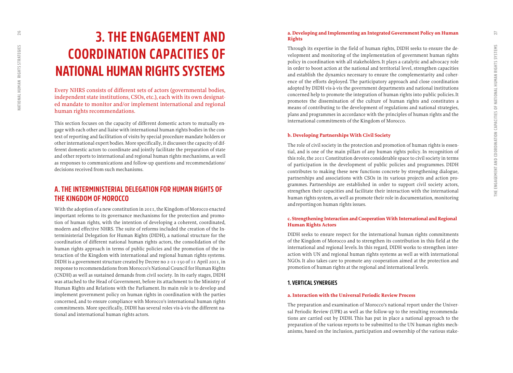## <span id="page-13-0"></span>**3. THE ENGAGEMENT AND COORDINATION CAPACITIES OF NATIONAL HUMAN RIGHTS SYSTEMS**

Every NHRS consists of different sets of actors (governmental bodies, independent state institutions, CSOs, etc.), each with its own designated mandate to monitor and/or implement international and regional human rights recommendations.

This section focuses on the capacity of different domestic actors to mutually engage with each other and liaise with international human rights bodies in the context of reporting and facilitation of visits by special procedure mandate holders or other international expert bodies. More specifically, it discusses the capacity of different domestic actors to coordinate and jointly facilitate the preparation of state and other reports to international and regional human rights mechanisms, as well as responses to communications and follow-up questions and recommendations/ decisions received from such mechanisms.

## **A. THE INTERMINISTERIAL DELEGATION FOR HUMAN RIGHTS OF THE KINGDOM OF MOROCCO**

With the adoption of a new constitution in 2011, the Kingdom of Morocco enacted important reforms to its governance mechanisms for the protection and promotion of human rights, with the intention of developing a coherent, coordinated, modern and effective NHRS. The suite of reforms included the creation of the Interministerial Delegation for Human Rights (DIDH), a national structure for the coordination of different national human rights actors, the consolidation of the human rights approach in terms of public policies and the promotion of the interaction of the Kingdom with international and regional human rights systems. DIDH is a government structure created by Decree no 2-11-150 of 11 April 2011, in response to recommendations from Morocco's National Council for Human Rights (CNDH) as well as sustained demands from civil society. In its early stages, DIDH was attached to the Head of Government, before its attachment to the Ministry of Human Rights and Relations with the Parliament. Its main role is to develop and implement government policy on human rights in coordination with the parties concerned, and to ensure compliance with Morocco's international human rights commitments. More specifically, DIDH has several roles vis-à-vis the different national and international human rights actors.

#### **a. Developing and Implementing an Integrated Government Policy on Human Rights**

Through its expertise in the field of human rights, DIDH seeks to ensure the development and monitoring of the implementation of government human rights policy in coordination with all stakeholders. It plays a catalytic and advocacy role in order to boost action at the national and territorial level, strengthen capacities and establish the dynamics necessary to ensure the complementarity and coherence of the efforts deployed. The participatory approach and close coordination adopted by DIDH vis-à-vis the government departments and national institutions concerned help to promote the integration of human rights into public policies. It promotes the dissemination of the culture of human rights and constitutes a means of contributing to the development of regulations and national strategies, plans and programmes in accordance with the principles of human rights and the international commitments of the Kingdom of Morocco.

#### **b. Developing Partnerships With Civil Society**

The role of civil society in the protection and promotion of human rights is essential, and is one of the main pillars of any human rights policy. In recognition of this role, the 2011 Constitution devotes considerable space to civil society in terms of participation in the development of public policies and programmes. DIDH contributes to making these new functions concrete by strengthening dialogue, partnerships and associations with CSOs in its various projects and action programmes. Partnerships are established in order to support civil society actors, strengthen their capacities and facilitate their interaction with the international human rights system, as well as promote their role in documentation, monitoring and reporting on human rights issues.

#### **c. Strengthening Interaction and Cooperation With International and Regional Human Rights Actors**

DIDH seeks to ensure respect for the international human rights commitments of the Kingdom of Morocco and to strengthen its contribution in this field at the international and regional levels. In this regard, DIDH works to strengthen interaction with UN and regional human rights systems as well as with international NGOs. It also takes care to promote any cooperation aimed at the protection and promotion of human rights at the regional and international levels.

#### **1. VERTICAL SYNERGIES**

#### **a. Interaction with the Universal Periodic Review Process**

The preparation and examination of Morocco's national report under the Universal Periodic Review (UPR) as well as the follow-up to the resulting recommendations are carried out by DIDH. This has put in place a national approach to the preparation of the various reports to be submitted to the UN human rights mechanisms, based on the inclusion, participation and ownership of the various stake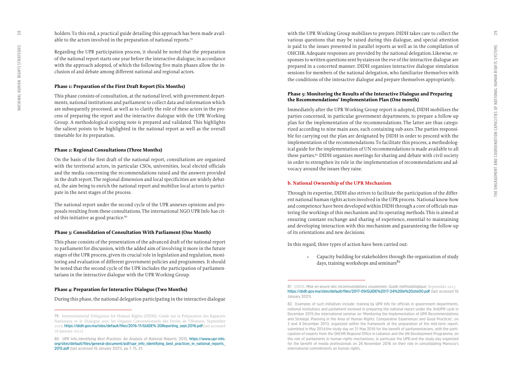holders. To this end, a practical guide detailing this approach has been made available to the actors involved in the preparation of national reports.79

Regarding the UPR participation process, it should be noted that the preparation of the national report starts one year before the interactive dialogue, in accordance with the approach adopted, of which the following five main phases allow the inclusion of and debate among different national and regional actors.

#### **Phase 1: Preparation of the First Draft Report (Six Months)**

This phase consists of consultation, at the national level, with government departments, national institutions and parliament to collect data and information which are subsequently processed, as well as to clarify the role of these actors in the process of preparing the report and the interactive dialogue with the UPR Working Group. A methodological scoping note is prepared and validated. This highlights the salient points to be highlighted in the national report as well as the overall timetable for its preparation.

#### **Phase 2: Regional Consultations (Three Months)**

On the basis of the first draft of the national report, consultations are organized with the territorial actors, in particular CSOs, universities, local elected officials and the media concerning the recommendations raised and the answers provided in the draft report. The regional dimension and local specificities are widely debated, the aim being to enrich the national report and mobilize local actors to participate in the next stages of the process.

The national report under the second cycle of the UPR annexes opinions and proposals resulting from these consultations. The international NGO UPR Info has cited this initiative as good practice.<sup>80</sup>

#### **Phase 3: Consolidation of Consultation With Parliament (One Month)**

This phase consists of the presentation of the advanced draft of the national report to parliament for discussion, with the added aim of involving it more in the future stages of the UPR process, given its crucial role in legislation and regulation, monitoring and evaluation of different government policies and programmes. It should be noted that the second cycle of the UPR includes the participation of parliamentarians in the interactive dialogue with the UPR Working Group.

#### **Phase 4: Preparation for Interactive Dialogue (Two Months)**

During this phase, the national delegation participating in the interactive dialogue

with the UPR Working Group mobilizes to prepare. DIDH takes care to collect the various questions that may be raised during this dialogue, and special attention is paid to the issues presented in parallel reports as well as in the compilation of OHCHR. Adequate responses are provided by the national delegation. Likewise, responses to written questions sent by states on the eve of the interactive dialogue are prepared in a concerted manner. DIDH organizes interactive dialogue simulation sessions for members of the national delegation, who familiarize themselves with the conditions of the interactive dialogue and prepare themselves appropriately.

#### **Phase 5: Monitoring the Results of the Interactive Dialogue and Preparing the Recommendations' Implementation Plan (One month)**

Immediately after the UPR Working Group report is adopted, DIDH mobilizes the parties concerned, in particular government departments, to prepare a follow-up plan for the implementation of the recommendations. The latter are thus categorized according to nine main axes, each containing sub-axes. The parties responsible for carrying out the plan are designated by DIDH in order to proceed with the implementation of the recommendations. To facilitate this process, a methodological guide for the implementation of UN recommendations is made available to all these parties.<sup>81</sup> DIDH organizes meetings for sharing and debate with civil society in order to strengthen its role in the implementation of recommendations and advocacy around the issues they raise.

#### **b. National Ownership of the UPR Mechanism**

Through its expertise, DIDH also strives to facilitate the participation of the different national human rights actors involved in the UPR process. National know-how and competence have been developed within DIDH through a core of officials mastering the workings of this mechanism and its operating methods. This is aimed at ensuring constant exchange and sharing of experience, essential to maintaining and developing interaction with this mechanism and guaranteeing the follow-up of its orientations and new decisions.

In this regard, three types of action have been carried out:

• Capacity building for stakeholders through the organization of study days, training workshops and seminars $82$ 

**<sup>79</sup>** Interministerial Delegation for Human Rights (DIDH), Guide sur la Préparation des Rapports Nationaux et le Dialogue avec les Organes Conventionnels des Droits de l'Homme, September 2016, **[https://didh.gov.ma/sites/default/files/2016-11/GUIDE% 20Reporting\\_sept.2016.pdf](https://translate.google.com/translate?hl=it&prev=_t&sl=fr&tl=en&u=https://didh.gov.ma/sites/default/files/2016-11/GUIDE%2520Reporting_sept.2016.pdf)** (last accessed 16 January 2021)

**<sup>80</sup> UPR Info,** *Identifying Best Practices: An Analysis of National Reports***, 2015, [https://www.upr-info.](https://www.upr-info.org/sites/default/files/general-document/pdf/upr_info_identifying_best_practices_in_national_reports_2015.pdf) [org/sites/default/files/general-document/pdf/upr\\_info\\_identifying\\_best\\_practices\\_in\\_national\\_reports\\_](https://www.upr-info.org/sites/default/files/general-document/pdf/upr_info_identifying_best_practices_in_national_reports_2015.pdf) [2015.pdf](https://www.upr-info.org/sites/default/files/general-document/pdf/upr_info_identifying_best_practices_in_national_reports_2015.pdf) (last accessed 16 January 2021), pp 7, 15, 21.**

**<sup>81</sup>** DIDH, *Mise en œuvre des recommandations onusiennes: Guide méthodologique*, September 2017, **<https://didh.gov.ma/sites/default/files/2017-09/GUIDE%2017-24%20le%20site00.pdf>(last accessed 16 January 2021).**

**<sup>82</sup> Examples of such initiatives include: training by UPR Info for officials in government departments, national institutions and parliament involved in preparing the national report under the 3rd UPR cycle in December 2015; the international seminar on 'Monitoring the Implementation of UPR Recommendations and Strategic Planning in the Area of Human Rights: Comparative Experiences and Good Practices', on 3 and 4 December 2013, organized within the framework of the preparation of the mid-term report, submitted in May 2014; the study day on 21 May 2016 for the benefit of parliamentarians, with the participation of experts from the OHCHR Regional Office in Lebanon and the UN Development Programme, on the role of parliaments in human rights mechanisms, in particular the UPR; and the study day organized for the benefit of media professionals on 26 November 2016 on their role in consolidating Morocco's international commitments on human rights.**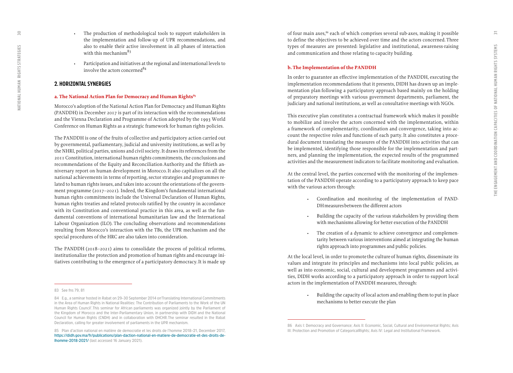- The production of methodological tools to support stakeholders in the implementation and follow-up of UPR recommendations, and also to enable their active involvement in all phases of interaction with this mechanism $83$ 
	- Participation and initiatives at the regional and international levels to involve the actors concerned<sup>84</sup>

#### **2. HORIZONTAL SYNERGIES**

#### a. The National Action Plan for Democracy and Human Rights<sup>85</sup>

Morocco's adoption of the National Action Plan for Democracy and Human Rights (PANDDH) in December 2017 is part of its interaction with the recommendations and the Vienna Declaration and Programme of Action adopted by the 1993 World Conference on Human Rights as a strategic framework for human rights policies.

The PANDDH is one of the fruits of collective and participatory action carried out by governmental, parliamentary, judicial and university institutions, as well as by the NHRI, political parties, unions and civil society. It draws its references from the 2011 Constitution, international human rights commitments, the conclusions and recommendations of the Equity and Reconciliation Authority and the fiftieth anniversary report on human development in Morocco. It also capitalizes on all the national achievements in terms of reporting, sector strategies and programmes related to human rights issues, and takes into account the orientations of the government programme (2017–2021). Indeed, the Kingdom's fundamental international human rights commitments include the Universal Declaration of Human Rights, human rights treaties and related protocols ratified by the country in accordance with its Constitution and conventional practice in this area, as well as the fundamental conventions of international humanitarian law and the International Labour Organization (ILO). The concluding observations and recommendations resulting from Morocco's interaction with the TBs, the UPR mechanism and the special procedures of the HRC are also taken into consideration.

The PANDDH (2018–2021) aims to consolidate the process of political reforms, institutionalize the protection and promotion of human rights and encourage initiatives contributing to the emergence of a participatory democracy. It is made up of four main axes,<sup>86</sup> each of which comprises several sub-axes, making it possible to define the objectives to be achieved over time and the actors concerned. Three types of measures are presented: legislative and institutional, awareness-raising and communication and those relating to capacity building.

#### **b. The Implementation of the PANDDH**

In order to guarantee an effective implementation of the PANDDH, executing the implementation recommendations that it presents, DIDH has drawn up an implementation plan following a participatory approach based mainly on the holding of preparatory meetings with various government departments, parliament, the judiciary and national institutions, as well as consultative meetings with NGOs.

This executive plan constitutes a contractual framework which makes it possible to mobilize and involve the actors concerned with the implementation, within a framework of complementarity, coordination and convergence, taking into account the respective roles and functions of each party. It also constitutes a procedural document translating the measures of the PANDDH into activities that can be implemented, identifying those responsible for the implementation and partners, and planning the implementation, the expected results of the programmed activities and the measurement indicators to facilitate monitoring and evaluation.

At the central level, the parties concerned with the monitoring of the implementation of the PANDDH operate according to a participatory approach to keep pace with the various actors through:

- Coordination and monitoring of the implementation of PAND-DH measures between the different actors
- Building the capacity of the various stakeholders by providing them with mechanisms allowing for better execution of the PANDDH
- The creation of a dynamic to achieve convergence and complementarity between various interventions aimed at integrating the human rights approach into programmes and public policies.

At the local level, in order to promote the culture of human rights, disseminate its values and integrate its principles and mechanisms into local public policies, as well as into economic, social, cultural and development programmes and activities, DIDH works according to a participatory approach in order to support local actors in the implementation of PANDDH measures, through:

> • Building the capacity of local actors and enabling them to put in place mechanisms to better execute the plan

<span id="page-15-0"></span> $\overline{50}$ 

**<sup>83</sup> See fns 79, 81**

**<sup>84</sup> E.g., a seminar hosted in Rabat on 29–30 September 2014 on 'Translating International Commitments in the Area of Human Rights in National Realities: The Contribution of Parliaments to the Work of the UN Human Rights Council'. This seminar for African parliaments was organized jointly by the Parliament of the Kingdom of Morocco and the Inter-Parliamentary Union, in partnership with DIDH and the National Council for Human Rights (CNDH) and in collaboration with OHCHR. The seminar resulted in the Rabat Declaration, calling for greater involvement of parliaments in the UPR mechanism.** 

**<sup>85</sup> Plan d'action national en matière de democratie et les droits de l'homme 2018–21, December 2017, [https://didh.gov.ma/fr/publications/plan-daction-national-en-matiere-de-democratie-et-des-droits-de](https://translate.google.com/translate?hl=it&prev=_t&sl=fr&tl=en&u=https://didh.gov.ma/fr/publications/plan-daction-national-en-matiere-de-democratie-et-des-droits-de-lhomme-2018-2021/)[lhomme-2018-2021/](https://translate.google.com/translate?hl=it&prev=_t&sl=fr&tl=en&u=https://didh.gov.ma/fr/publications/plan-daction-national-en-matiere-de-democratie-et-des-droits-de-lhomme-2018-2021/) (last accessed 16 January 2021).**

**<sup>86</sup> Axis I: Democracy and Governance; Axis II: Economic, Social, Cultural and Environmental Rights; Axis III: Protection and Promotion of Categorical Rights; Axis IV: Legal and Institutional Framework.**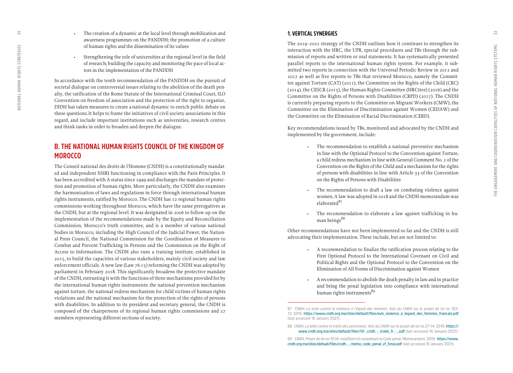- <span id="page-16-0"></span>• The creation of a dynamic at the local level through mobilization and awareness programmes on the PANDDH; the promotion of a culture of human rights and the dissemination of its values
- Strengthening the role of universities at the regional level in the field of research; building the capacity and monitoring the pace of local actors in the implementation of the PANDDH

In accordance with the tenth recommendation of the PANDDH on the pursuit of societal dialogue on controversial issues relating to the abolition of the death penalty, the ratification of the Rome Statute of the International Criminal Court, ILO Convention on freedom of association and the protection of the right to organize, DIDH has taken measures to create a national dynamic to enrich public debate on these questions. It helps to frame the initiatives of civil society associations in this regard, and include important institutions such as universities, research centres and think tanks in order to broaden and deepen the dialogue.

## **B. THE NATIONAL HUMAN RIGHTS COUNCIL OF THE KINGDOM OF MOROCCO**

The Conseil national des droits de l'Homme (CNDH) is a constitutionally mandated and independent NHRI functioning in compliance with the Paris Principles. It has been accredited with A status since 1999 and discharges the mandate of protection and promotion of human rights. More particularly, the CNDH also examines the harmonization of laws and regulations in force through international human rights instruments, ratified by Morocco. The CNDH has 12 regional human rights commissions working throughout Morocco, which have the same prerogatives as the CNDH, but at the regional level. It was designated in 2006 to follow up on the implementation of the recommendations made by the Equity and Reconciliation Commission, Morocco's truth committee, and is a member of various national bodies in Morocco, including the High Council of the Judicial Power, the National Press Council, the National Commission for the Coordination of Measures to Combat and Prevent Trafficking in Persons and the Commission on the Right of Access to Information. The CNDH also runs a training institute, established in 2015, to build the capacities of various stakeholders, mainly civil society and law enforcement officials. A new law (Law 76.15) reforming the CNDH was adopted by parliament in February 2018. This significantly broadens the protective mandate of the CNDH, entrusting it with the functions of three mechanisms provided for by the international human rights instruments: the national prevention mechanism against torture, the national redress mechanism for child victims of human rights violations and the national mechanism for the protection of the rights of persons with disabilities. In addition to its president and secretary general, the CNDH is composed of the chairpersons of its regional human rights commissions and 27 members representing different sections of society.

#### **1. VERTICAL SYNERGIES**

The 2019–2021 strategy of the CNDH outlines how it continues to strengthen its interaction with the HRC, the UPR, special procedures and TBs through the submission of reports and written or oral statements. It has systematically presented parallel reports to the international human rights system. For example, it submitted two reports in connection with the Universal Periodic Review in 2012 and 2017 as well as five reports to TBs that reviewed Morocco, namely the Committee against Torture (CAT) (2011), the Committee on the Rights of the Child (CRC) (2014), the CESCR (2015), the Human Rights Committee (HRCttee) (2016) and the Committee on the Rights of Persons with Disabilities (CRPD) (2017). The CNDH is currently preparing reports to the Committee on Migrant Workers (CMW), the Committee on the Elimination of Discrimination against Women (CEDAW) and the Committee on the Elimination of Racial Discrimination (CERD).

Key recommendations issued by TBs, monitored and advocated by the CNDH and implemented by the government, include:

- The recommendation to establish a national preventive mechanism in line with the Optional Protocol to the Convention against Torture, a child redress mechanism in line with General Comment No. 2 of the Convention on the Rights of the Child and a mechanism for the rights of persons with disabilities in line with Article 33 of the Convention on the Rights of Persons with Disabilities
- The recommendation to draft a law on combating violence against women. A law was adopted in 2018 and the CNDH memorandum was elaborated<sup>87</sup>
- The recommendation to elaborate a law against trafficking in human beings<sup>88</sup>

Other recommendations have not been implemented so far and the CNDH is still advocating their implementation. These include, but are not limited to:

- A recommendation to finalize the ratification process relating to the First Optional Protocol to the International Covenant on Civil and Political Rights and the Optional Protocol to the Convention on the Elimination of All Forms of Discrimination against Women
- A recommendation to abolish the death penalty in law and in practice and bring the penal legislation into compliance with international human rights instruments<sup>89</sup>

**<sup>87</sup> CNDH,** *La lutte contre la violence à l'égard des femmes: Avis du CNDH sur le projet de loi no 103- 13***, 2016, [https://www.cndh.org.ma/sites/default/files/avis\\_violence\\_a\\_legard\\_des\\_femmes\\_francais.pdf](https://www.cndh.org.ma/sites/default/files/avis_violence_a_legard_des_femmes_francais.pdf) (last accessed 16 January 2021).**

**<sup>88</sup> CNDH,** *La lutte contre la traite des personnes: Avis du CNDH sur le projet de loi no 27-14***, 2016, [https://](https://www.cndh.org.ma/sites/default/files/10-_cndh_-_traite_fr_-_.pdf) [www.cndh.org.ma/sites/default/files/10-\\_cndh\\_-\\_traite\\_fr\\_-\\_.pdf](https://www.cndh.org.ma/sites/default/files/10-_cndh_-_traite_fr_-_.pdf) (last accessed 16 January 2021).**

**<sup>89</sup> CNDH,** *Projet de loi no 10.16: modifiant et complétant le Code penal***, Mémorandum, 2019, [https://www.](https://www.cndh.org.ma/sites/default/files/cndh_-_memo_code_penal_vf_5mai.pdf) [cndh.org.ma/sites/default/files/cndh\\_-\\_memo\\_code\\_penal\\_vf\\_5mai.pdf](https://www.cndh.org.ma/sites/default/files/cndh_-_memo_code_penal_vf_5mai.pdf) (last accessed 16 January 2021).**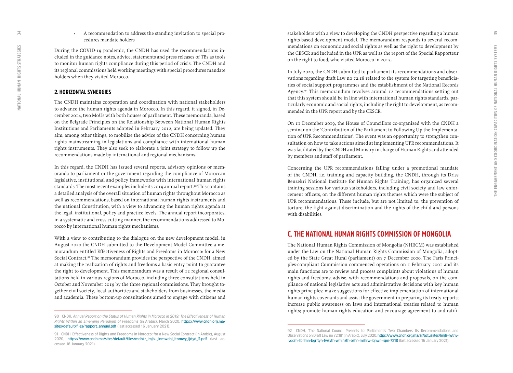• A recommendation to address the standing invitation to special procedures mandate holders

During the COVID-19 pandemic, the CNDH has used the recommendations included in the guidance notes, advice, statements and press releases of TBs as tools to monitor human rights compliance during this period of crisis. The CNDH and its regional commissions held working meetings with special procedures mandate holders when they visited Morocco.

#### **2. HORIZONTAL SYNERGIES**

The CNDH maintains cooperation and coordination with national stakeholders to advance the human rights agenda in Morocco. In this regard, it signed, in December 2014, two MoUs with both houses of parliament. These memoranda, based on the Belgrade Principles on the Relationship Between National Human Rights Institutions and Parliaments adopted in February 2012, are being updated. They aim, among other things, to mobilize the advice of the CNDH concerning human rights mainstreaming in legislations and compliance with international human rights instruments. They also seek to elaborate a joint strategy to follow up the recommendations made by international and regional mechanisms.

In this regard, the CNDH has issued several reports, advisory opinions or memoranda to parliament or the government regarding the compliance of Moroccan legislative, institutional and policy frameworks with international human rights standards. The most recent examples include its 2019 annual report.<sup>90</sup> This contains a detailed analysis of the overall situation of human rights throughout Morocco as well as recommendations, based on international human rights instruments and the national Constitution, with a view to advancing the human rights agenda at the legal, institutional, policy and practice levels. The annual report incorporates, in a systematic and cross-cutting manner, the recommendations addressed to Morocco by international human rights mechanisms.

With a view to contributing to the dialogue on the new development model, in August 2020 the CNDH submitted to the Development Model Committee a memorandum entitled Effectiveness of Rights and Freedoms in Morocco: for a New Social Contract.<sup>91</sup> The memorandum provides the perspective of the CNDH, aimed at making the realization of rights and freedoms a basic entry point to guarantee the right to development. This memorandum was a result of 12 regional consultations held in various regions of Morocco, including three consultations held in October and November 2019 by the three regional commissions. They brought together civil society, local authorities and stakeholders from businesses, the media and academia. These bottom-up consultations aimed to engage with citizens and stakeholders with a view to developing the CNDH perspective regarding a human rights-based development model. The memorandum responds to several recommendations on economic and social rights as well as the right to development by the CESCR and included in the UPR as well as the report of the Special Rapporteur on the right to food, who visited Morocco in 2015.

In July 2020, the CNDH submitted to parliament its recommendations and observations regarding draft Law no 72.18 related to the system for targeting beneficiaries of social support programmes and the establishment of the National Records Agency.92 This memorandum revolves around 12 recommendations setting out that this system should be in line with international human rights standards, particularly economic and social rights, including the right to development, as recommended in the UPR report and by the CESCR.

On 11 December 2019, the House of Councillors co-organized with the CNDH a seminar on the 'Contribution of the Parliament to Following Up the Implementation of UPR Recommendations'. The event was an opportunity to strengthen consultation on how to take actions aimed at implementing UPR recommendations. It was facilitated by the CNDH and Ministry in charge of Human Rights and attended by members and staff of parliament.

Concerning the UPR recommendations falling under a promotional mandate of the CNDH, i.e. training and capacity building, the CNDH, through its Driss Benzekri National Institute for Human Rights Training, has organized several training sessions for various stakeholders, including civil society and law enforcement officers, on the different human rights themes which were the subject of UPR recommendations. These include, but are not limited to, the prevention of torture, the fight against discrimination and the rights of the child and persons with disabilities.

### **C. THE NATIONAL HUMAN RIGHTS COMMISSION OF MONGOLIA**

The National Human Rights Commission of Mongolia (NHRCM) was established under the  [Law on the National Human Rights Commission of Mongolia](https://www.asiapacificforum.net/resources/nhrc-mongolia-act-2000/), adopted by the State Great Hural (parliament) on 7 December 2000. The Paris Principles-compliant Commission commenced operations on 1 February 2001 and its main functions are to review and process complaints about violations of human rights and freedoms; advise, with recommendations and proposals, on the compliance of national legislative acts and administrative decisions with key human rights principles; make suggestions for effective implementation of international human rights covenants and assist the government in preparing its treaty reports; increase public awareness on laws and international treaties related to human rights; promote human rights education and encourage agreement to and ratifi-

<span id="page-17-0"></span> $\overline{34}$ 

**<sup>90</sup> CNDH,** *Annual Report on the Status of Human Rights in Morocco in 2019: The Effectiveness of Human Rights Within an Emerging Paradigm of Freedoms* **(in Arabic), March 2020, [https://www.cndh.org.ma/](https://www.cndh.org.ma/sites/default/files/rapport_annuel.pdf) [sites/default/files/rapport\\_annuel.pdf](https://www.cndh.org.ma/sites/default/files/rapport_annuel.pdf) (last accessed 16 January 2021).**

**<sup>91</sup> CNDH, Effectiveness of Rights and Freedoms in Morocco: for a New Social Contract (in Arabic), August 2020, [https://www.cndh.ma/sites/default/files/mdhkr\\_lmjls-\\_lnmwdhj\\_ltnmwy\\_ljdyd\\_2.pdf](https://www.cndh.ma/sites/default/files/mdhkr_lmjls-_lnmwdhj_ltnmwy_ljdyd_2.pdf) (last accessed 16 January 2021).**

**<sup>92</sup> CNDH, 'The National Council Presents to Parliament's Two Chambers Its Recommendations and Observations on Draft Law no 72.18' (in Arabic), July 2020,[https://www.cndh.org.ma/ar/actualites/lmjls-lwtny](https://www.cndh.org.ma/ar/actualites/lmjls-lwtny-yqdm-llbrlmn-bgrftyh-twsyth-wmlhzth-bshn-mshrw-lqnwn-rqm-7218)  [yqdm-llbrlmn-bgrftyh-twsyth-wmlhzth-bshn-mshrw-lqnwn-rqm-7218](https://www.cndh.org.ma/ar/actualites/lmjls-lwtny-yqdm-llbrlmn-bgrftyh-twsyth-wmlhzth-bshn-mshrw-lqnwn-rqm-7218) (last accessed 16 January 2021).**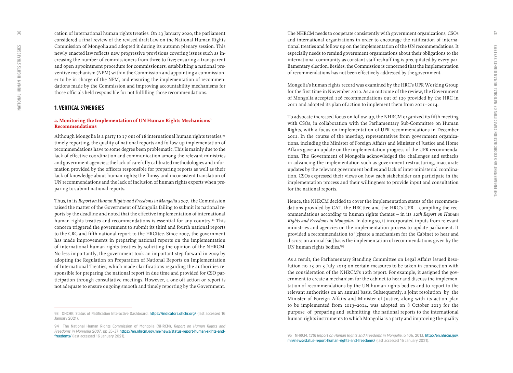cation of international human rights treaties. On 23 January 2020, the parliament considered a final review of the revised draft Law on the National Human Rights Commission of Mongolia and adopted it during its autumn plenary session. This newly enacted law reflects new progressive provisions covering issues such as increasing the number of commissioners from three to five; ensuring a transparent and open appointment procedure for commissioners; establishing a national preventive mechanism (NPM) within the Commission and appointing a commissioner to be in charge of the NPM, and ensuring the implementation of recommendations made by the Commission and improving accountability mechanisms for those officials held responsible for not fulfilling those recommendations.

#### **1. VERTICAL SYNERGIES**

#### **a. Monitoring the Implementation of UN Human Rights Mechanisms' Recommendations**

Although Mongolia is a party to 17 out of 18 international human rights treaties,<sup>93</sup> timely reporting, the quality of national reports and follow-up implementation of recommendations have to some degree been problematic. This is mainly due to the lack of effective coordination and communication among the relevant ministries and government agencies; the lack of carefully calibrated methodologies and information provided by the officers responsible for preparing reports as well as their lack of knowledge about human rights; the flimsy and inconsistent translation of UN recommendations and the lack of inclusion of human rights experts when preparing to submit national reports.

Thus, in its *Report on Human Rights and Freedoms in Mongolia 2007*, the Commission raised the matter of the Government of Mongolia failing to submit its national reports by the deadline and noted that the effective implementation of international human rights treaties and recommendations is essential for any country.94 This concern triggered the government to submit its third and fourth national reports to the CRC and fifth national report to the HRCttee. Since 2007, the government has made improvements in preparing national reports on the implementation of international human rights treaties by soliciting the opinion of the NHRCM. No less importantly, the government took an important step forward in 2009 by adopting the Regulation on Preparation of National Reports on Implementation of International Treaties, which made clarifications regarding the authorities responsible for preparing the national report in due time and provided for CSO participation through consultative meetings. However, a one-off action or report is not adequate to ensure ongoing smooth and timely reporting by the Government.

The NHRCM needs to cooperate consistently with government organizations, CSOs and international organizations in order to encourage the ratification of international treaties and follow up on the implementation of the UN recommendations. It especially needs to remind government organizations about their obligations to the international community as constant staff reshuffling is precipitated by every parliamentary election. Besides, the Commission is concerned that the implementation of recommendations has not been effectively addressed by the government.

Mongolia's human rights record was examined by the HRC's UPR Working Group for the first time in November 2010. As an outcome of the review, the Government of Mongolia accepted 126 recommendations out of 129 provided by the HRC in 2011 and adopted its plan of action to implement them from 2011–2014.

To advocate increased focus on follow-up, the NHRCM organized its fifth meeting with CSOs, in collaboration with the Parliamentary Sub-Committee on Human Rights, with a focus on implementation of UPR recommendations in December 2012. In the course of the meeting, representatives from government organizations, including the Minister of Foreign Affairs and Minister of Justice and Home Affairs gave an update on the implementation progress of the UPR recommendations. The Government of Mongolia acknowledged the challenges and setbacks in advancing the implementation such as government restructuring, inaccurate updates by the relevant government bodies and lack of inter-ministerial coordination. CSOs expressed their views on how each stakeholder can participate in the implementation process and their willingness to provide input and consultation for the national reports.

Hence, the NHRCM decided to cover the implementation status of the recommendations provided by CAT, the HRCttee and the HRC's UPR – compiling the recommendations according to human rights themes – in its *12th Report on Human Rights and Freedoms in Mongolia*. In doing so, it incorporated inputs from relevant ministries and agencies on the implementation process to update parliament. It provided a recommendation to '[c]reate a mechanism for the Cabinet to hear and discuss on annual [sic] basis the implementation of recommendations given by the UN human rights bodies.'95

As a result, the Parliamentary Standing Committee on Legal Affairs issued Resolution no 13 on 3 July 2013 on certain measures to be taken in connection with the consideration of the NHRCM's 12th report. For example, it assigned the government to create a mechanism for the cabinet to hear and discuss the implementation of recommendations by the UN human rights bodies and to report to the relevant authorities on an annual basis. Subsequently, a joint resolution by the Minister of Foreign Affairs and Minister of Justice, along with its action plan to be implemented from 2013–2014, was adopted on 8 October 2013 for the purpose of preparing and submitting the national reports to the international human rights instruments to which Mongolia is a party and improving the quality

<span id="page-18-0"></span>36

**<sup>93</sup> OHCHR, Status of Ratification Interactive Dashboard, <https://indicators.ohchr.org/>(last accessed 16 January 2021).**

**<sup>94</sup> The National Human Rights Commission of Mongolia (NHRCM),** *Report on Human Rights and Freedoms in Mongolia 2007***, pp 35–37 [https://en.nhrcm.gov.mn/news/status-report-human-rights-and](https://en.nhrcm.gov.mn/news/status-report-human-rights-and-freedoms/)[freedoms/](https://en.nhrcm.gov.mn/news/status-report-human-rights-and-freedoms/) (last accessed 16 January 2021).**

**<sup>95</sup> NHRCM,** *12th Report on Human Rights and Freedoms in Mongolia***, p 106, 2013, [http://en.nhrcm.gov.](http://en.nhrcm.gov.mn/news/status-report-human-rights-and-freedoms/) [mn/news/status-report-human-rights-and-freedoms/](http://en.nhrcm.gov.mn/news/status-report-human-rights-and-freedoms/) (last accessed 16 January 2021).**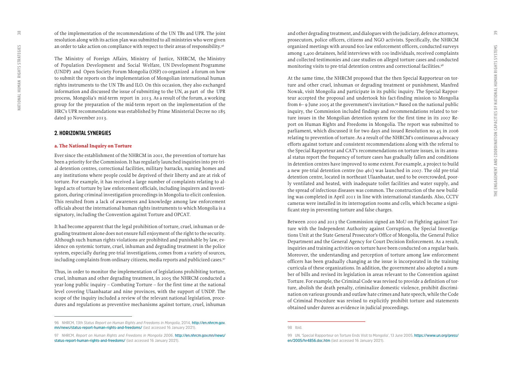<span id="page-19-0"></span>of the implementation of the recommendations of the UN TBs and UPR. The joint resolution along with its action plan was submitted to all ministries who were given an order to take action on compliance with respect to their areas of responsibility.<sup>96</sup>

The Ministry of Foreign Affairs, Ministry of Justice, NHRCM, the Ministry of Population Development and Social Welfare, UN Development Programme (UNDP) and Open Society Forum Mongolia (OSF) co-organized a forum on how to submit the reports on the implementation of Mongolian international human rights instruments to the UN TBs and ILO. On this occasion, they also exchanged information and discussed the issue of submitting to the UN, as part of the UPR process, Mongolia's mid-term report in 2013. As a result of the forum, a working group for the preparation of the mid-term report on the implementation of the HRC's UPR recommendations was established by Prime Ministerial Decree no 185 dated 30 November 2013.

#### **2. HORIZONTAL SYNERGIES**

#### **a. The National Inquiry on Torture**

Ever since the establishment of the NHRCM in 2001, the prevention of torture has been a priority for the Commission. It has regularly launched inquiries into pre-trial detention centres, correctional facilities, military barracks, nursing homes and any institutions where people could be deprived of their liberty and are at risk of torture. For example, it has received a large number of complaints relating to alleged acts of torture by law enforcement officials, including inquirers and investigators, during criminal investigation proceedings in Mongolia to elicit confession. This resulted from a lack of awareness and knowledge among law enforcement officials about the international human rights instruments to which Mongolia is a signatory, including the Convention against Torture and OPCAT.

It had become apparent that the legal prohibition of torture, cruel, inhuman or degrading treatment alone does not ensure full enjoyment of the right to the security. Although such human rights violations are prohibited and punishable by law, evidence on systemic torture, cruel, inhuman and degrading treatment in the police system, especially during pre-trial investigations, comes from a variety of sources, including complaints from ordinary citizens, media reports and publicized cases.<sup>97</sup>

Thus, in order to monitor the implementation of legislations prohibiting torture, cruel, inhuman and other degrading treatment, in 2005 the NHRCM conducted a year-long public inquiry – Combating Torture – for the first time at the national level covering Ulaanbaatar and nine provinces, with the support of UNDP. The scope of the inquiry included a review of the relevant national legislation, procedures and regulations as preventive mechanisms against torture, cruel, inhuman and other degrading treatment, and dialogues with the judiciary, defence attorneys, prosecutors, police officers, citizens and NGO activists. Specifically, the NHRCM organized meetings with around 600 law enforcement officers, conducted surveys among 1,400 detainees, held interviews with 100 individuals, received complaints and collected testimonies and case studies on alleged torture cases and conducted monitoring visits to pre-trial detention centres and correctional facilities.98

At the same time, the NHRCM proposed that the then Special Rapporteur on torture and other cruel, inhuman or degrading treatment or punishment, Manfred Nowak, visit Mongolia and participate in its public inquiry. The Special Rapporteur accepted the proposal and undertook his fact-finding mission to Mongolia from 6– 9 June 2005 at the government's invitation.<sup>99</sup> Based on the national public inquiry, the Commission included findings and recommendations related to torture issues in the Mongolian detention system for the first time in its 2007 Report on Human Rights and Freedoms in Mongolia. The report was submitted to parliament, which discussed it for two days and issued Resolution no 45 in 2006 relating to prevention of torture. As a result of the NHRCM's continuous advocacy efforts against torture and consistent recommendations along with the referral to the Special Rapporteur and CAT's recommendations on torture issues, in its annual status report the frequency of torture cases has gradually fallen and conditions in detention centres have improved to some extent. For example, a project to build a new pre-trial detention centre (no 461) was launched in 2007. The old pre-trial detention centre, located in northeast Ulaanbaatar, used to be overcrowded, poorly ventilated and heated, with inadequate toilet facilities and water supply, and the spread of infectious diseases was common. The construction of the new building was completed in April 2011 in line with international standards. Also, CCTV cameras were installed in its interrogation rooms and cells, which became a significant step in preventing torture and false charges.

Between 2010 and 2013 the Commission signed an MoU on Fighting against Torture with the Independent Authority against Corruption, the Special Investigations Unit at the State General Prosecutor's Office of Mongolia, the General Police Department and the General Agency for Court Decision Enforcement. As a result, inquiries and training activities on torture have been conducted on a regular basis. Moreover, the understanding and perception of torture among law enforcement officers has been gradually changing as the issue is incorporated in the training curricula of these organizations. In addition, the government also adopted a number of bills and revised its legislation in areas relevant to the Convention against Torture. For example, the Criminal Code was revised to provide a definition of torture, abolish the death penalty, criminalize domestic violence, prohibit discrimination on various grounds and outlaw hate crimes and hate speech, while the Code of Criminal Procedure was revised to explicitly prohibit torture and statements obtained under duress as evidence in judicial proceedings.

**<sup>96</sup> NHRCM,** *13th Status Report on Human Rights and Freedoms in Mongolia***, 2014, [http://en.nhrcm.gov.](http://en.nhrcm.gov.mn/news/status-report-human-rights-and-freedoms/) [mn/news/status-report-human-rights-and-freedoms/](http://en.nhrcm.gov.mn/news/status-report-human-rights-and-freedoms/) (last accessed 16 January 2021).**

**<sup>97</sup> NHRCM,** *Report on Human Rights and Freedoms in Mongolia 2006***, [http://en.nhrcm.gov.mn/news/](http://en.nhrcm.gov.mn/news/status-report-human-rights-and-freedoms/) [status-report-human-rights-and-freedoms/](http://en.nhrcm.gov.mn/news/status-report-human-rights-and-freedoms/) (last accessed 16 January 2021).**

**<sup>98</sup> Ibid.**

**<sup>99</sup> UN, 'Special Rapporteur on Torture Ends Visit to Mongolia', 13 June 2005, https://www.un.org/press/ en/2005/hr4856.doc.htm (last accessed 16 January 2021).**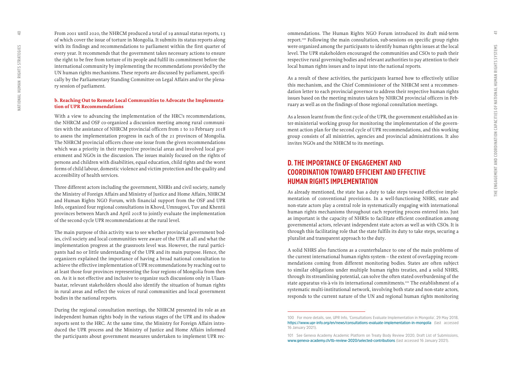From 2001 until 2020, the NHRCM produced a total of 19 annual status reports, 13 of which cover the issue of torture in Mongolia. It submits its status reports along with its findings and recommendations to parliament within the first quarter of every year. It recommends that the government takes necessary actions to ensure the right to be free from torture of its people and fulfil its commitment before the international community by implementing the recommendations provided by the UN human rights mechanisms. These reports are discussed by parliament, specifically by the Parliamentary Standing Committee on Legal Affairs and/or the plenary session of parliament.

#### **b. Reaching Out to Remote Local Communities to Advocate the Implementation of UPR Recommendations**

With a view to advancing the implementation of the HRC's recommendations, the NHRCM and OSF co-organized a discussion meeting among rural communities with the assistance of NHRCM provincial officers from 1 to 10 February 2018 to assess the implementation progress in each of the 21 provinces of Mongolia. The NHRCM provincial officers chose one issue from the given recommendations which was a priority in their respective provincial areas and involved local government and NGOs in the discussion. The issues mainly focused on the rights of persons and children with disabilities, equal education, child rights and the worst forms of child labour, domestic violence and victim protection and the quality and accessibility of health services.

Three different actors including the government, NHRIs and civil society, namely the Ministry of Foreign Affairs and Ministry of Justice and Home Affairs, NHRCM and Human Rights NGO Forum, with financial support from the OSF and UPR Info, organized four regional consultations in Khovd, Umnugovi, Tuv and Khentii provinces between March and April 2018 to jointly evaluate the implementation of the second-cycle UPR recommendations at the rural level.

The main purpose of this activity was to see whether provincial government bodies, civil society and local communities were aware of the UPR at all and what the implementation progress at the grassroots level was. However, the rural participants had no or little understanding of the UPR and its main purpose. Hence, the organizers explained the importance of having a broad national consultation to achieve the effective implementation of UPR recommendations by reaching out to at least those four provinces representing the four regions of Mongolia from then on. As it is not effective and inclusive to organize such discussions only in Ulaanbaatar, relevant stakeholders should also identify the situation of human rights in rural areas and reflect the voices of rural communities and local government bodies in the national reports.

During the regional consultation meetings, the NHRCM presented its role as an independent human rights body in the various stages of the UPR and its shadow reports sent to the HRC. At the same time, the Ministry for Foreign Affairs introduced the UPR process and the Ministry of Justice and Home Affairs informed the participants about government measures undertaken to implement UPR recommendations. The Human Rights NGO Forum introduced its draft mid-term report.100 Following the main consultation, sub-sessions on specific group rights were organized among the participants to identify human rights issues at the local level. The UPR stakeholders encouraged the communities and CSOs to push their respective rural governing bodies and relevant authorities to pay attention to their local human rights issues and to input into the national reports.

As a result of these activities, the participants learned how to effectively utilize this mechanism, and the Chief Commissioner of the NHRCM sent a recommendation letter to each provincial governor to address their respective human rights issues based on the meeting minutes taken by NHRCM provincial officers in February as well as on the findings of those regional consultation meetings.

As a lesson learnt from the first cycle of the UPR, the government established an inter-ministerial working group for monitoring the implementation of the government action plan for the second cycle of UPR recommendations, and this working group consists of all ministries, agencies and provincial administrations. It also invites NGOs and the NHRCM to its meetings.

## **D. THE IMPORTANCE OF ENGAGEMENT AND COORDINATION TOWARD EFFICIENT AND EFFECTIVE HUMAN RIGHTS IMPLEMENTATION**

As already mentioned, the state has a duty to take steps toward effective implementation of conventional provisions. In a well-functioning NHRS, state and non-state actors play a central role in systematically engaging with international human rights mechanisms throughout each reporting process entered into. Just as important is the capacity of NHRSs to facilitate efficient coordination among governmental actors, relevant independent state actors as well as with CSOs. It is through this facilitating role that the state fulfils its duty to take steps, securing a pluralist and transparent approach to the duty.

A solid NHRS also functions as a counterbalance to one of the main problems of the current international human rights system – the extent of overlapping recommendations coming from different monitoring bodies. States are often subject to similar obligations under multiple human rights treaties, and a solid NHRS, through its streamlining potential, can solve the often stated overburdening of the state apparatus vis-à-vis its international commitments.<sup>101</sup> The establishment of a systematic multi-institutional network, involving both state and non-state actors, responds to the current nature of the UN and regional human rights monitoring

<span id="page-20-0"></span> $\supseteq$ 

**<sup>100</sup> For more details, see, UPR Info, 'Consultations Evaluate Implementation in Mongolia', 29 May 2018, <https://www.upr-info.org/en/news/consultations-evaluate-implementation-in-mongolia> (last accessed 16 January 2021).**

**<sup>101</sup> See Geneva Academy Academic Platform on Treaty Body Review 2020, Draft List of Submissions, [www.geneva-academy.ch/tb-review-2020/selected-contributions](https://www.geneva-academy.ch/tb-review-2020/selected-contributions) (last accessed 16 January 2021).**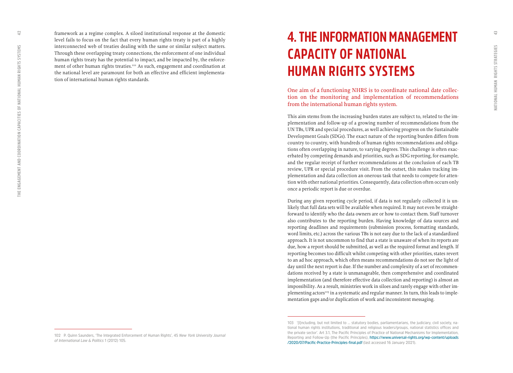<span id="page-21-0"></span> $\overline{1}$ 

framework as a regime complex. A siloed institutional response at the domestic level fails to focus on the fact that every human rights treaty is part of a highly interconnected web of treaties dealing with the same or similar subject matters. Through these overlapping treaty connections, the enforcement of one individual human rights treaty has the potential to impact, and be impacted by, the enforce ment of other human rights treaties.<sup>102</sup> As such, engagement and coordination at the national level are paramount for both an effective and efficient implementa tion of international human rights standards.

## **4. THE INFORMATION MANAGEMENT CAPACITY OF NATIONAL HUMAN RIGHTS SYSTEMS**

One aim of a functioning NHRS is to coordinate national date collec tion on the monitoring and implementation of recommendations from the international human rights system.

This aim stems from the increasing burden states are subject to, related to the im plementation and follow-up of a growing number of recommendations from the UN TBs, UPR and special procedures, as well achieving progress on the Sustainable Development Goals (SDGs). The exact nature of the reporting burden differs from country to country, with hundreds of human rights recommendations and obliga tions often overlapping in nature, to varying degrees. This challenge is often exac erbated by competing demands and priorities, such as SDG reporting, for example, and the regular receipt of further recommendations at the conclusion of each TB review, UPR or special procedure visit. From the outset, this makes tracking im plementation and data collection an onerous task that needs to compete for atten tion with other national priorities. Consequently, data collection often occurs only once a periodic report is due or overdue.

During any given reporting cycle period, if data is not regularly collected it is un likely that full data sets will be available when required. It may not even be straight forward to identify who the data owners are or how to contact them. Staff turnover also contributes to the reporting burden. Having knowledge of data sources and reporting deadlines and requirements (submission process, formatting standards, word limits, etc.) across the various TBs is not easy due to the lack of a standardized approach. It is not uncommon to find that a state is unaware of when its reports are due, how a report should be submitted, as well as the required format and length. If reporting becomes too difficult whilst competing with other priorities, states revert to an ad hoc approach, which often means recommendations do not see the light of day until the next report is due. If the number and complexity of a set of recommen dations received by a state is unmanageable, then comprehensive and coordinated implementation (and therefore effective data collection and reporting) is almost an impossibility. As a result, ministries work in siloes and rarely engage with other im plementing actors<sup>103</sup> in a systematic and regular manner. In turn, this leads to implementation gaps and/or duplication of work and inconsistent messaging.

**<sup>103 &#</sup>x27;[I]ncluding, but not limited to … statutory bodies, parliamentarians, the judiciary, civil society, na tional human rights institutions, traditional and religious leaders/groups, national statistics offices and the private sector'. Art 3.1, The Pacific Principles of Practice of National Mechanisms for Implementation, Reporting and Follow-Up (the Pacific Principles), [https://www.universal-rights.org/wp-content/uploads](https://www.universal-rights.org/wp-content/uploads/2020/07/Pacific-Practice-Principles-final.pdf) [/2020/07/Pacific-Practice-Principles-final.pdf](https://www.universal-rights.org/wp-content/uploads/2020/07/Pacific-Practice-Principles-final.pdf) (last accessed 16 January 2021).**

**<sup>102</sup> P. Quinn Saunders, 'The Integrated Enforcement of Human Rights', 45** *New York University Journal of International Law & Politics* **1 (2012) 105.**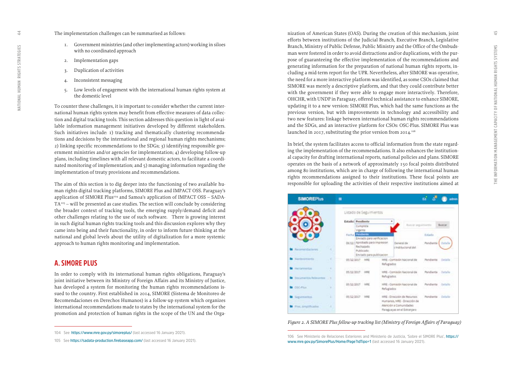$45$ 

#### <span id="page-22-0"></span>The implementation challenges can be summarised as follows:

- 1. Government ministries (and other implementing actors) working in siloes with no coordinated approach
- 2. Implementation gaps
- 3. Duplication of activities
- 4. Inconsistent messaging
- 5. Low levels of engagement with the international human rights system at the domestic level

To counter these challenges, it is important to consider whether the current inter national human rights system may benefit from effective measures of data collec tion and digital tracking tools. This section addresses this question in light of avai lable information management initiatives developed by different stakeholders. Such initiatives include: 1) tracking and thematically clustering recommenda tions and decisions by the international and regional human rights mechanisms; 2) linking specific recommendations to the SDGs; 3) identifying responsible gov ernment ministries and/or agencies for implementation; 4) developing follow-up plans, including timelines with all relevant domestic actors, to facilitate a coordi nated monitoring of implementation; and 5) managing information regarding the implementation of treaty provisions and recommendations.

The aim of this section is to dig deeper into the functioning of two available hu man rights digital tracking platforms, SIMORE Plus and IMPACT OSS. Paraguay's application of SIMORE Plus™4 and Samoa's application of IMPACT OSS – SADA- $TA<sub>105</sub> - will be presented as case studies. The section will conclude by considering$ the broader context of tracking tools, the emerging supply/demand deficit and other challenges relating to the use of such software. There is growing interest in such digital human rights tracking tools and this discussion explores why they came into being and their functionality, in order to inform future thinking at the national and global levels about the utility of digitalization for a more systemic approach to human rights monitoring and implementation.

### **A. SIMORE PLUS**

In order to comply with its international human rights obligations, Paraguay's joint initiative between its Ministry of Foreign Affairs and its Ministry of Justice, has developed a system for monitoring the human rights recommendations is sued to the country. First established in 2014, SIMORE (Sistema de Monitoreo de Recomendaciones en Derechos Humanos) is a follow-up system which organizes international recommendations made to states by the international system for the promotion and protection of human rights in the scope of the UN and the Orga -

nization of American States (OAS). During the creation of this mechanism, joint efforts between institutions of the Judicial Branch, Executive Branch, Legislative Branch, Ministry of Public Defense, Public Ministry and the Office of the Ombuds man were fostered in order to avoid distractions and/or duplications, with the pur pose of guaranteeing the effective implementation of the recommendations and generating information for the preparation of national human rights reports, in cluding a mid-term report for the UPR. Nevertheless, after SIMORE was operative, the need for a more interactive platform was identified, as some CSOs claimed that SIMORE was merely a descriptive platform, and that they could contribute better with the government if they were able to engage more interactively. Therefore, OHCHR, with UNDP in Paraguay, offered technical assistance to enhance SIMORE, updating it to a new version: SIMORE Plus, which had the same functions as the previous version, but with improvements in technology and accessibility and two new features: linkage between international human rights recommendations and the SDGs, and an interactive platform for CSOs: OSC-Plus. SIMORE Plus was launched in 2017, substituting the prior version from 2014.<sup>106</sup>

In brief, the system facilitates access to official information from the state regard ing the implementation of the recommendations. It also enhances the institution al capacity for drafting international reports, national policies and plans. SIMORE operates on the basis of a network of approximately 150 focal points distributed among 80 institutions, which are in charge of following the international human rights recommendations assigned to their institutions. These focal points are responsible for uploading the activities of their respective institutions aimed at



*Figure 2. A SIMORE Plus follow-up tracking list (Ministry of Foreign Affairs of Paraguay)* 

**<sup>104</sup> See <https://www.mre.gov.py/simoreplus/> (last accessed 16 January 2021).**

**<sup>105</sup> See<https://sadata-production.firebaseapp.com/> (last accessed 16 January 2021).**

**<sup>106</sup> [See](file:///C:\Users\Munizha\AppData\Local\Temp\See) Ministerio de Relaciones Exteriores and Ministerio de Justicia, 'Sobre el SIMORE Plus', [https://](https://www.mre.gov.py/SimorePlus/Home/Page?idTipo=1) [www.mre.gov.py/SimorePlus/Home/Page?idTipo=1](https://www.mre.gov.py/SimorePlus/Home/Page?idTipo=1) (last accessed 16 January 2021).**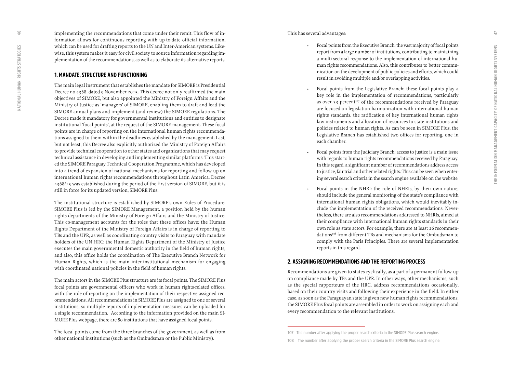<span id="page-23-0"></span>implementing the recommendations that come under their remit. This flow of in formation allows for continuous reporting with up-to-date official information, which can be used for drafting reports to the UN and Inter-American systems. Like wise, this system makes it easy for civil society to source information regarding im plementation of the recommendations, as well as to elaborate its alternative reports.

#### **1. MANDATE, STRUCTURE AND FUNCTIONING**

The main legal instrument that establishes the mandate for SIMORE is Presidential Decree no 4368, dated 9 November 2015. This decree not only reaffirmed the main objectives of SIMORE, but also appointed the Ministry of Foreign Affairs and the Ministry of Justice as 'managers' of SIMORE, enabling them to draft and lead the SIMORE annual plans and implement (and review) the SIMORE regulations. The Decree made it mandatory for governmental institutions and entities to designate institutional 'focal points', at the request of the SIMORE management. These focal points are in charge of reporting on the international human rights recommenda tions assigned to them within the deadlines established by the management. Last, but not least, this Decree also explicitly authorized the Ministry of Foreign Affairs to provide technical cooperation to other states and organizations that may request technical assistance in developing and implementing similar platforms. This start ed the SIMORE Paraguay Technical Cooperation Programme, which has developed into a trend of expansion of national mechanisms for reporting and follow-up on international human rights recommendations throughout Latin America. Decree 4368/15 was established during the period of the first version of SIMORE, but it is still in force for its updated version, SIMORE Plus.

The institutional structure is established by SIMORE's own Rules of Procedure. SIMORE Plus is led by the SIMORE Management, a position held by the human rights departments of the Ministry of Foreign Affairs and the Ministry of Justice. This co-management accounts for the roles that these offices have: the Human Rights Department of the Ministry of Foreign Affairs is in charge of reporting to TBs and the UPR, as well as coordinating country visits to Paraguay with mandate holders of the UN HRC; the Human Rights Department of the Ministry of Justice executes the main governmental domestic authority in the field of human rights, and also, this office holds the coordination of The Executive Branch Network for Human Rights, which is the main inter-institutional mechanism for engaging with coordinated national policies in the field of human rights.

The main actors in the SIMORE Plus structure are its focal points. The SIMORE Plus focal points are governmental officers who work in human rights-related offices, with the role of reporting on the implementation of their respective assigned rec ommendations. All recommendations in SIMORE Plus are assigned to one or several institutions, so multiple reports of implementation measures can be uploaded for a single recommendation. According to the information provided on the main SI - MORE Plus webpage, there are 80 institutions that have assigned focal points.

The focal points come from the three branches of the government, as well as from other national institutions (such as the Ombudsman or the Public Ministry).

This has several advantages:

- Focal points from the Executive Branch: the vast majority of focal points report from a large number of institutions, contributing to maintaining a multi-sectoral response to the implementation of international hu man rights recommendations. Also, this contributes to better commu nication on the development of public policies and efforts, which could result in avoiding multiple and/or overlapping activities.
- Focal points from the Legislative Branch: these focal points play a key role in the implementation of recommendations, particularly as over 33 percent<sup>107</sup> of the recommendations received by Paraguay are focused on legislation harmonization with international human rights standards, the ratification of key international human rights law instruments and allocation of resources to state institutions and policies related to human rights. As can be seen in SIMORE Plus, the Legislative Branch has established two offices for reporting, one in each chamber.
- Focal points from the Judiciary Branch: access to justice is a main issue with regards to human rights recommendations received by Paraguay. In this regard, a significant number of recommendations address access to justice, fair trial and other related rights. This can be seen when enter ing several search criteria in the search engine available on the website.
- Focal points in the NHRI: the role of NHRIs, by their own nature, should include the general monitoring of the state's compliance with international human rights obligations, which would inevitably in clude the implementation of the received recommendations. Never theless, there are also recommendations addressed to NHRIs, aimed at their compliance with international human rights standards in their own role as state actors. For example, there are at least 26 recommen dations<sup>108</sup> from different TBs and mechanisms for the Ombudsman to comply with the Paris Principles. There are several implementation reports in this regard.

#### **2. ASSIGNING RECOMMENDATIONS AND THE REPORTING PROCESS**

Recommendations are given to states cyclically, as a part of a permanent follow-up on compliance made by TBs and the UPR. In other ways, other mechanisms, such as the special rapporteurs of the HRC, address recommendations occasionally, based on their country visits and following their experience in the field. In either case, as soon as the Paraguayan state is given new human rights recommendations, the SIMORE Plus focal points are assembled in order to work on assigning each and every recommendation to the relevant institutions.

**<sup>107</sup> The number after applying the proper search criteria in the SIMORE Plus search engine.**

**<sup>108</sup> The number after applying the proper search criteria in the SIMORE Plus search engine.**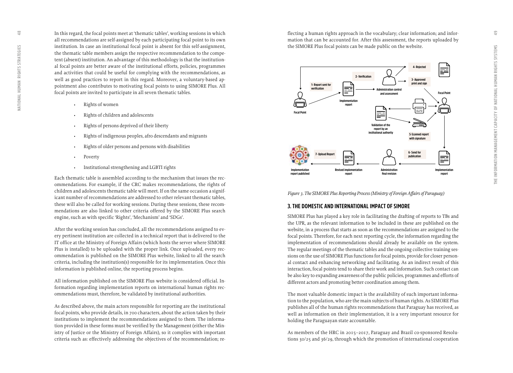<span id="page-24-0"></span>In this regard, the focal points meet at 'thematic tables', working sessions in which all recommendations are self-assigned by each participating focal point to its own institution. In case an institutional focal point is absent for this self-assignment, the thematic table members assign the respective recommendation to the compe tent (absent) institution. An advantage of this methodology is that the institution al focal points are better aware of the institutional efforts, policies, programmes and activities that could be useful for complying with the recommendations, as well as good practices to report in this regard. Moreover, a voluntary-based ap pointment also contributes to motivating focal points to using SIMORE Plus. All focal points are invited to participate in all seven thematic tables.

- Rights of women
- Rights of children and adolescents
- Rights of persons deprived of their liberty
- Rights of indigenous peoples, afro descendants and migrants
- Rights of older persons and persons with disabilities
- Poverty
- Institutional strengthening and LGBTI rights

Each thematic table is assembled according to the mechanism that issues the rec ommendations. For example, if the CRC makes recommendations, the rights of children and adolescents thematic table will meet. If on the same occasion a significant number of recommendations are addressed to other relevant thematic tables, these will also be called for working sessions. During these sessions, these recom mendations are also linked to other criteria offered by the SIMORE Plus search engine, such as with specific 'Rights', 'Mechanism' and 'SDGs'.

After the working session has concluded, all the recommendations assigned to ev ery pertinent institution are collected in a technical report that is delivered to the IT office at the Ministry of Foreign Affairs (which hosts the server where SIMORE Plus is installed) to be uploaded with the proper link. Once uploaded, every rec ommendation is published on the SIMORE Plus website, linked to all the search criteria, including the institution(s) responsible for its implementation. Once this information is published online, the reporting process begins.

All information published on the SIMORE Plus website is considered official. In formation regarding implementation reports on international human rights rec ommendations must, therefore, be validated by institutional authorities.

As described above, the main actors responsible for reporting are the institutional focal points, who provide details, in 700 characters, about the action taken by their institutions to implement the recommendations assigned to them. The informa tion provided in these forms must be verified by the Management (either the Min istry of Justice or the Ministry of Foreign Affairs), so it complies with important criteria such as: effectively addressing the objectives of the recommendation; re -

flecting a human rights approach in the vocabulary; clear information; and infor mation that can be accounted for. After this assessment, the reports uploaded by the SIMORE Plus focal points can be made public on the website.



*Figure 3. The SIMORE Plus Reporting Process (Ministry of Foreign Affairs of Paraguay)*

#### **3. THE DOMESTIC AND INTERNATIONAL IMPACT OF SIMORE**

SIMORE Plus has played a key role in facilitating the drafting of reports to TBs and the UPR, as the relevant information to be included in these are published on the website, in a process that starts as soon as the recommendations are assigned to the focal points. Therefore, for each next reporting cycle, the information regarding the implementation of recommendations should already be available on the system. The regular meetings of the thematic tables and the ongoing collective training ses sions on the use of SIMORE Plus functions for focal points, provide for closer person al contact and enhancing networking and facilitating. As an indirect result of this interaction, focal points tend to share their work and information. Such contact can be also key to expanding awareness of the public policies, programmes and efforts of different actors and promoting better coordination among them.

The most valuable domestic impact is the availability of such important informa tion to the population, who are the main subjects of human rights. As SIMORE Plus publishes all of the human rights recommendations that Paraguay has received, as well as information on their implementation, it is a very important resource for holding the Paraguayan state accountable.

As members of the HRC in 2015–2017, Paraguay and Brazil co-sponsored Resolu tions 30/25 and 36/29, through which the promotion of international cooperation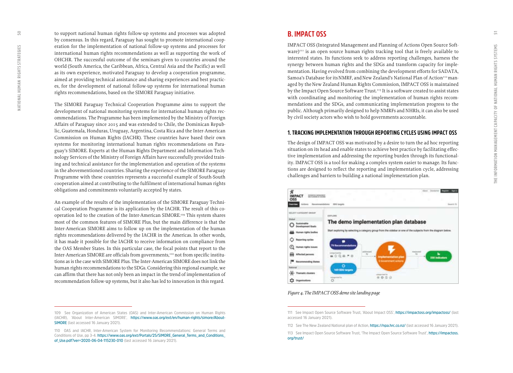<span id="page-25-0"></span>to support national human rights follow-up systems and processes was adopted by consensus. In this regard, Paraguay has sought to promote international coop eration for the implementation of national follow-up systems and processes for international human rights recommendations as well as supporting the work of OHCHR. The successful outcome of the seminars given to countries around the world (South America, the Caribbean, Africa, Central Asia and the Pacific) as well as its own experience, motivated Paraguay to develop a cooperation programme, aimed at providing technical assistance and sharing experiences and best practic es, for the development of national follow-up systems for international human rights recommendations, based on the SIMORE Paraguay initiative.

The SIMORE Paraguay Technical Cooperation Programme aims to support the development of national monitoring systems for international human rights rec ommendations. The Programme has been implemented by the Ministry of Foreign Affairs of Paraguay since 2015 and was extended to Chile, the Dominican Repub lic, Guatemala, Honduras, Uruguay, Argentina, Costa Rica and the Inter-American Commission on Human Rights (IACHR). These countries have based their own systems for monitoring international human rights recommendations on Para guay's SIMORE. Experts at the Human Rights Department and Information Tech nology Services of the Ministry of Foreign Affairs have successfully provided train ing and technical assistance for the implementation and operation of the systems in the abovementioned countries. Sharing the experience of the SIMORE Paraguay Programme with these countries represents a successful example of South-South cooperation aimed at contributing to the fulfilment of international human rights obligations and commitments voluntarily accepted by states.

An example of the results of the implementation of the SIMORE Paraguay Techni cal Cooperation Programme is its application by the IACHR. The result of this co operation led to the creation of the Inter-American SIMORE.109 This system shares most of the common features of SIMORE Plus, but the main difference is that the Inter-American SIMORE aims to follow up on the implementation of the human rights recommendations delivered by the IACHR in the Americas. In other words, it has made it possible for the IACHR to receive information on compliance from the OAS Member States. In this particular case, the focal points that report to the Inter-American SIMORE are officials from governments,110 not from specific institutions as is the case with SIMORE Plus. The Inter-American SIMORE does not link the human rights recommendations to the SDGs. Considering this regional example, we can affirm that there has not only been an impact in the trend of implementation of recommendation follow-up systems, but it also has led to innovation in this regard.

## **B. IMPACT OSS**

IMPACT OSS (Integrated Management and Planning of Actions Open Source Soft ware)<sup>111</sup> is an open source human rights tracking tool that is freely available to interested states. Its functions seek to address reporting challenges, harness the synergy between human rights and the SDGs and transform capacity for imple mentation. Having evolved from combining the development efforts for SADATA, Samoa's Database for its NMRF, and New Zealand's National Plan of Action<sup>112</sup> managed by the New Zealand Human Rights Commission, IMPACT OSS is maintained by the Impact Open Source Software Trust.<sup>113</sup> It is a software created to assist states with coordinating and monitoring the implementation of human rights recom mendations and the SDGs, and communicating implementation progress to the public. Although primarily designed to help NMRFs and NHRIs, it can also be used by civil society actors who wish to hold governments accountable.

#### **1. TRACKING IMPLEMENTATION THROUGH REPORTING CYCLES USING IMPACT OSS**

The design of IMPACT OSS was motivated by a desire to turn the ad hoc reporting situation on its head and enable states to achieve best practice by facilitating effec tive implementation and addressing the reporting burden through its functional ity. IMPACT OSS is a tool for making a complex system easier to manage. Its func tions are designed to reflect the reporting and implementation cycle, addressing challenges and barriers to building a national implementation plan.



*Figure 4. The IMPACT OSS demo site landing page*

**<sup>109</sup> See Organization of American States (OAS) and Inter-American Commission on Human Rights (IACHR), 'About Inter-American SIMORE', [https://www.oas.org/ext/en/human-rights/simore/About-](https://www.oas.org/ext/en/human-rights/simore/About-SIMORE)[SIMORE](https://www.oas.org/ext/en/human-rights/simore/About-SIMORE) (last accessed 16 January 2021).**

**<sup>110</sup> OAS and IACHR, Inter-American System for Monitoring Recommendations: General Terms and Conditions of Use, pp 3-4. [https://www.oas.org/ext/Portals/25/SIMORE\\_General\\_Terms\\_and\\_Conditions\\_](https://www.oas.org/ext/Portals/25/SIMORE_General_Terms_and_Conditions_of_Use.pdf?ver=2020-06-04-115230-010) [of\\_Use.pdf?ver=2020-06-04-115230-010](https://www.oas.org/ext/Portals/25/SIMORE_General_Terms_and_Conditions_of_Use.pdf?ver=2020-06-04-115230-010) (last accessed 16 January 2021).**

**<sup>111</sup> See Impact Open Source Software Trust, 'About Impact OSS',<https://impactoss.org/impactoss/> (last accessed 16 January 2021).**

**<sup>112</sup> See The New Zealand National plan of Action,<https://npa.hrc.co.nz/>(last accessed 16 January 2021).** 

**<sup>113</sup> See Impact Open Source Software Trust, 'The Impact Open Source Software Trust', [https://impactoss.](https://impactoss.org/trust/) [org/trust/](https://impactoss.org/trust/)**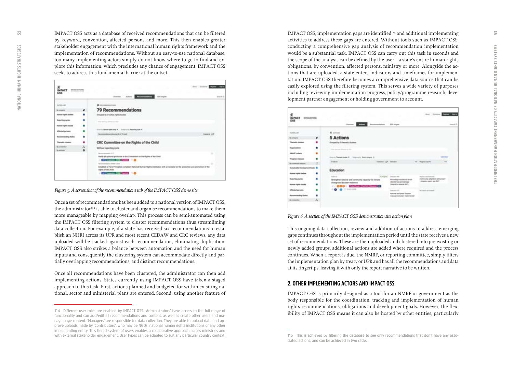<span id="page-26-0"></span>IMPACT OSS acts as a database of received recommendations that can be filtered by keyword, convention, affected persons and more. This then enables greater stakeholder engagement with the international human rights framework and the implementation of recommendations. Without an easy-to-use national database, too many implementing actors simply do not know where to go to find and ex plore this information, which precludes any chance of engagement. IMPACT OSS seeks to address this fundamental barrier at the outset.

| <b>ENGINEERING</b> |                                                                                                                                                                                                                                                                                                                                                                                            | <b>Daniel</b>                                              |
|--------------------|--------------------------------------------------------------------------------------------------------------------------------------------------------------------------------------------------------------------------------------------------------------------------------------------------------------------------------------------------------------------------------------------|------------------------------------------------------------|
|                    | <b>Constitution of the Constitution of the American</b><br><b>Distribut Ladiese</b>                                                                                                                                                                                                                                                                                                        | time &                                                     |
| ۰                  | <b>79 Recommendations</b>                                                                                                                                                                                                                                                                                                                                                                  |                                                            |
| п                  | <b>Ensured by 2 tumer rights testings</b>                                                                                                                                                                                                                                                                                                                                                  |                                                            |
| ٠                  | THE CHANNEL GROUP OF A THE                                                                                                                                                                                                                                                                                                                                                                 |                                                            |
| ٠<br>٠             | <b>Becommendations determined by on This band</b>                                                                                                                                                                                                                                                                                                                                          | <b><i><u>Separator</u></i></b>                             |
| ٠                  | CRC Committee on the Rights of the Child                                                                                                                                                                                                                                                                                                                                                   |                                                            |
|                    | Without reporting confer<br><b>Homewood</b> in L.<br>Raifly all spinsed protocols to the Turnantian on the Rights of the Child<br><b>CHARGE COMPANY</b><br>Reconcession of Hills, CASE (2)<br>Columnia a Para Principles complaint transition Number Rights Institution with a manuface for the projection and phonocococial the<br>NATIONAL ARRANGEMENT<br><b>CALIFORNIA DE L'ANNO 10</b> |                                                            |
|                    | ٠<br>$\frac{\hbar}{\sigma}$                                                                                                                                                                                                                                                                                                                                                                | Structly Hemel Apricancy #  Subplicated Reporting Aprill # |

*Figure 5. A screenshot of the recommendations tab of the IMPACT OSS demo site*

Once a set of recommendations has been added to a national version of IMPACT OSS, the administrator $114$  is able to cluster and organise recommendations to make them more manageable by mapping overlap. This process can be semi-automated using the IMPACT OSS filtering system to cluster recommendations thus streamliming data collection. For example, if a state has received six recommendations to esta blish an NHRI across its UPR and most recent CEDAW and CRC reviews, any data uploaded will be tracked against each recommendation, eliminating duplication. IMPACT OSS also strikes a balance between automation and the need for human inputs and consequently the clustering system can accommodate directly and par tially overlapping recommendations, and distinct recommendations.

Once all recommendations have been clustered, the administrator can then add implementing actions. States currently using IMPACT OSS have taken a staged approach to this task. First, actions planned and budgeted for within exisiting na tional, sector and ministerial plans are entered. Second, using another feature of IMPACT OSS, implementation gaps are identified $115$  and additional implementing activities to address these gaps are entered. Without tools such as IMPACT OSS, conducting a comprehensive gap analysis of recommendation implementation would be a substantial task. IMPACT OSS can carry out this task in seconds and the scope of the analysis can be defined by the user – a state's entire human rights obligations, by convention, affected persons, ministry or more. Alongside the ac tions that are uploaded, a state enters indicators and timeframes for implemen tation. IMPACT OSS therefore becomes a comprehensive data source that can be easily explored using the filtering system. This serves a wide variety of purposes including reviewing implementation progress, policy/programme research, deve lopment partner engagement or holding government to account.



*Figure 6. A section of the IMPACT OSS demonstration site action plan*

This ongoing data collection, review and addition of actions to address emerging gaps continues throughout the implementation period until the state receives a new set of recommendations. These are then uploaded and clustered into pre-existing or newly added groups, additional actions are added where required and the process continues. When a report is due, the NMRF, or reporting committee, simply filters the implementation plan by treaty or UPR and has all the recommendations and data at its fingertips, leaving it with only the report narrative to be written.

#### **2. OTHER IMPLEMENTING ACTORS AND IMPACT OSS**

IMPACT OSS is primarily designed as a tool for an NMRF or government as the body responsible for the coordination, tracking and implementation of human rights recommendations, obligations and development goals. However, the flex ibility of IMPACT OSS means it can also be hosted by other entities, particularly

**<sup>114</sup> Different user roles are enabled by IMPACT OSS. 'Administrators' have access to the full range of functionality and can add/edit all recommendations and content, as well as create other users and ma nage page content. 'Managers' are responsible for data collection. They are able to upload data and ap prove uploads made by 'Contributors', who may be NGOs, national human rights institutions or any other implementing entity. This tiered system of users enables a collaborative approach across ministries and with external stakeholder engagement. User types can be adapted to suit any particular country context.** 

**<sup>115</sup> This is achieved by filtering the database to see only recommendations that don't have any asso ciated actions, and can be achieved in two clicks.**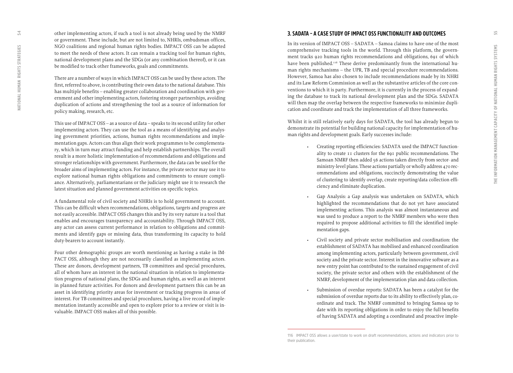<span id="page-27-0"></span>other implementing actors, if such a tool is not already being used by the NMRF or government. These include, but are not limited to, NHRIs, ombudsman offices, NGO coalitions and regional human rights bodies. IMPACT OSS can be adapted to meet the needs of these actors. It can remain a tracking tool for human rights, national development plans and the SDGs (or any combination thereof), or it can be modified to track other frameworks, goals and commitments.

There are a number of ways in which IMPACT OSS can be used by these actors. The first, referred to above, is contributing their own data to the national database. This has multiple benefits – enabling greater collaboration and coordination with gov ernment and other implementing actors, fostering stronger partnerships, avoiding duplication of actions and strengthening the tool as a source of information for policy making, research, etc.

This use of IMPACT OSS – as a source of data – speaks to its second utility for other implementing actors. They can use the tool as a means of identifying and analys ing government priorities, actions, human rights recommendations and imple mentation gaps. Actors can thus align their work programmes to be complementa ry, which in turn may attract funding and help establish partnerships. The overall result is a more holistic implementation of recommendations and obligations and stronger relationships with government. Furthermore, the data can be used for the broader aims of implementing actors. For instance, the private sector may use it to explore national human rights obligations and commitments to ensure compli ance. Alternatively, parliamentarians or the judiciary might use it to research the latest situation and planned government activities on specific topics.

A fundamental role of civil society and NHRIs is to hold government to account. This can be difficult when recommendations, obligations, targets and progress are not easily accessible. IMPACT OSS changes this and by its very nature is a tool that enables and encourages transparency and accountability. Through IMPACT OSS, any actor can assess current performance in relation to obligations and commit ments and identify gaps or missing data, thus transforming its capacity to hold duty-bearers to account instantly.

Four other demographic groups are worth mentioning as having a stake in IM - PACT OSS, although they are not necessarily classified as implementing actors. These are donors, development partners, TB committees and special procedures, all of whom have an interest in the national situation in relation to implementa tion progress of national plans, the SDGs and human rights, as well as an interest in planned future activities. For donors and development partners this can be an asset in identifying priority areas for investment or tracking progress in areas of interest. For TB committees and special procedures, having a live record of imple mentation instantly accessible and open to explore prior to a review or visit is in valuable. IMPACT OSS makes all of this possible.

#### **3. SADATA – A CASE STUDY OF IMPACT OSS FUNCTIONALITY AND OUTCOMES**

In its version of IMPACT OSS – SADATA – Samoa claims to have one of the most comprehensive tracking tools in the world. Through this platform, the govern ment tracks 920 human rights recommendations and obligations, 691 of which have been published.<sup>116</sup> These derive predominantly from the international human rights mechanisms – the UPR, TB and special procedure recommendations. However, Samoa has also chosen to include recommendations made by its NHRI and its Law Reform Commission as well as the substantive articles of the core con ventions to which it is party. Furthermore, it is currently in the process of expand ing the database to track its national development plan and the SDGs. SADATA will then map the overlap between the respective frameworks to minimize dupli cation and coordinate and track the implementation of all three frameworks.

Whilst it is still relatively early days for SADATA, the tool has already begun to demonstrate its potential for building national capacity for implementation of hu man rights and development goals. Early successes include:

- Creating reporting efficiencies: SADATA used the IMPACT function ality to create 11 clusters for the 691 public recommendations. The Samoan NMRF then added 56 actions taken directly from sector- and ministry-level plans. These actions partially or wholly address 470 rec ommendations and obligations, succinctly demonstrating the value of clustering to identify overlap, create reporting/data collection effi ciency and eliminate duplication.
- Gap Analysis: a Gap analysis was undertaken on SADATA, which highlighted the recommendations that do not yet have associated implementing actions. This analysis was almost instantaneous and was used to produce a report to the NMRF members who were then required to propose additional activities to fill the identified imple mentation gaps.
- Civil society and private sector mobilisation and coordination: the establishment of SADATA has mobilised and enhanced coordination among implementing actors, particularly between government, civil society and the private sector. Interest in the innovative software as a new entry point has contributed to the sustained engagement of civil society, the private sector and others with the establishment of the NMRF, development of the implementation plan and data collection.
- Submission of overdue reports: SADATA has been a catalyst for the submission of overdue reports due to its ability to effectively plan, co ordinate and track. The NMRF committed to bringing Samoa up to date with its reporting obligations in order to enjoy the full benefits of having SADATA and adopting a coordinated and proactive imple -

**<sup>116</sup> IMPACT OSS allows a user/state to work on draft recommendations, actions and indicators prior to their publication.**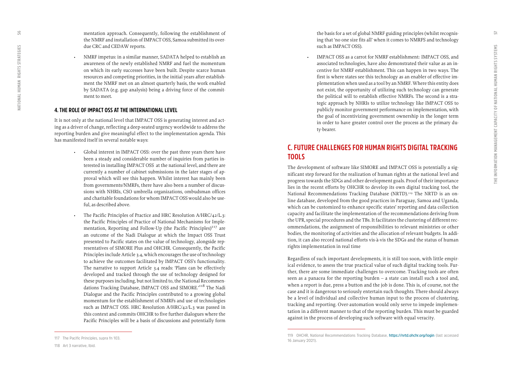<span id="page-28-0"></span>mentation approach. Consequently, following the establishment of the NMRF and installation of IMPACT OSS, Samoa submitted its over due CRC and CEDAW reports.

• NMRF impetus: in a similar manner, SADATA helped to establish an awareness of the newly established NMRF and fuel the momentum on which its early successes have been built. Despite scarce human resources and competing priorities, in the initial years after establish ment the NMRF met on an almost quarterly basis, the work enabled by SADATA (e.g. gap analysis) being a driving force of the commit ment to meet.

#### **4. THE ROLE OF IMPACT OSS AT THE INTERNATIONAL LEVEL**

It is not only at the national level that IMPACT OSS is generating interest and act ing as a driver of change, reflecting a deep-seated urgency worldwide to address the reporting burden and give meaningful effect to the implementation agenda. This has manifested itself in several notable ways:

- Global interest in IMPACT OSS: over the past three years there have been a steady and considerable number of inquiries from parties in terested in installing IMPACT OSS at the national level, and there are currently a number of cabinet submissions in the later stages of ap proval which will see this happen. Whilst interest has mainly been from governments/NMRFs, there have also been a number of discus sions with NHRIs, CSO umbrella organizations, ombudsman offices and charitable foundations for whom IMPACT OSS would also be use ful, as described above.
- The Pacific Principles of Practice and HRC Resolution A/HRC/42/L.3: the Pacific Principles of Practice of National Mechanisms for Imple mentation, Reporting and Follow-Up (the Pacific Principles)<sup>117</sup> are an outcome of the Nadi Dialogue at which the Impact OSS Trust presented to Pacific states on the value of technology, alongside rep resentatives of SIMORE Plus and OHCHR. Consequently, the Pacific Principles include Article 3.4, which encourages the use of technology to achieve the outcomes facilitated by IMPACT OSS's functionality. The narrative to support Article 3.4 reads: 'Plans can be effectively developed and tracked through the use of technology designed for these purposes including, but not limited to, the National Recommen dations Tracking Database, IMPACT OSS and SIMORE.<sup>'II8</sup> The Nadi Dialogue and the Pacific Principles contributed to a growing global momentum for the establishment of NMRFs and use of technologies such as IMPACT OSS. HRC Resolution A/HRC/42/L.3 was passed in this context and commits OHCHR to five further dialogues where the Pacific Principles will be a basis of discussions and potentially form

the basis for a set of global NMRF guiding principles (whilst recognis ing that 'no one size fits all' when it comes to NMRFS and technology such as IMPACT OSS).

• IMPACT OSS as a carrot for NMRF establishment: IMPACT OSS, and associated technologies, have also demonstrated their value as an in centive for NMRF establishment. This can happen in two ways. The first is where states see this technology as an enabler of effective im plementation when used as a tool by an NMRF. Where this entity does not exist, the opportunity of utilizing such technology can generate the political will to establish effective NMRFs. The second is a stra tegic approach by NHRIs to utilize technology like IMPACT OSS to publicly monitor government performance on implementation, with the goal of incentivizing government ownership in the longer term in order to have greater control over the process as the primary du ty-bearer.

### **C. FUTURE CHALLENGES FOR HUMAN RIGHTS DIGITAL TRACKING TOOLS**

The development of software like SIMORE and IMPACT OSS is potentially a sig nificant step forward for the realization of human rights at the national level and progress towards the SDGs and other development goals. Proof of their importance lies in the recent efforts by OHCHR to develop its own digital tracking tool, the National Recommendations Tracking Database (NRTD).<sup>119</sup> The NRTD is an online database, developed from the good practices in Paraguay, Samoa and Uganda, which can be customized to enhance specific states' reporting and data collection capacity and facilitate the implementation of the recommendations deriving from the UPR, special procedures and the TBs. It facilitates the clustering of different rec ommendations, the assignment of responsibilities to relevant ministries or other bodies, the monitoring of activities and the allocation of relevant budgets. In addi tion, it can also record national efforts vis-à-vis the SDGs and the status of human rights implementation in real time

Regardless of such important developments, it is still too soon, with little empir ical evidence, to assess the true practical value of such digital tracking tools. Fur ther, there are some immediate challenges to overcome. Tracking tools are often seen as a panacea for the reporting burden – a state can install such a tool and, when a report is due, press a button and the job is done. This is, of course, not the case and it is dangerous to seriously entertain such thoughts. There should always be a level of individual and collective human input to the process of clustering, tracking and reporting. Over-automation would only serve to impede implemen tation in a different manner to that of the reporting burden. This must be guarded against in the process of developing such software with equal veracity.

**<sup>117</sup> The Pacific Principles, supra fn 103.** 

**<sup>119</sup> OHCHR, National Recommendations Tracking Database, <https://nrtd.ohchr.org/login> (last accessed 16 January 2021).**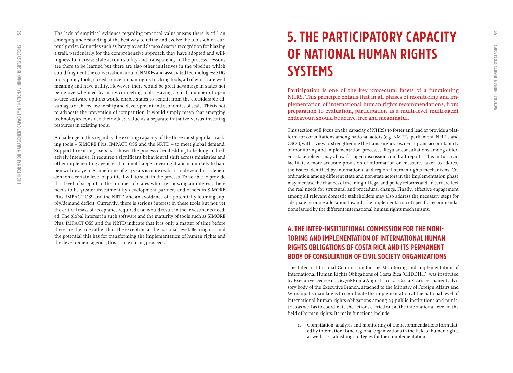<span id="page-29-0"></span>The lack of empirical evidence regarding practical value means there is still an emerging understanding of the best way to refine and evolve the tools which cur rently exist. Countries such as Paraguay and Samoa deserve recognition for blazing a trail, particularly for the comprehensive approach they have adopted and will ingness to increase state accountability and transparency in the process. Lessons are there to be learned but there are also other initiatives in the pipeline which could fragment the conversation around NMRFs and associated technologies: SDG tools, policy tools, closed source human rights tracking tools, all of which are well meaning and have utility. However, there would be great advantage in states not being overwhelmed by many competing tools. Having a small number of open source software options would enable states to benefit from the considerable ad vantages of shared ownership and development and economies of scale. This is not to advocate the prevention of competition; it would simply mean that emerging technologies consider their added value as a separate initiative versus investing resources in existing tools.

A challenge in this regard is the existing capacity of the three most popular track ing tools – SIMORE Plus, IMPACT OSS and the NRTD – to meet global demand. Support to existing users has shown the process of embedding to be long and rel atively intensive. It requires a significant behavioural shift across ministries and other implementing agencies. It cannot happen overnight and is unlikely to hap pen within a year. A timeframe of 2–3 years is more realistic and even this is depen dent on a certain level of political will to sustain the process. To be able to provide this level of support to the number of states who are showing an interest, there needs to be greater investment by development partners and others in SIMORE Plus, IMPACT OSS and the NRTD and an avoidance of a potentially looming sup ply/demand deficit. Currently, there is serious interest in these tools but not yet the critical mass of acceptance required that would result in the investments need ed. The global interest in such software and the maturity of tools such as SIMORE Plus, IMPACT OSS and the NRTD indicate that it is only a matter of time before these are the rule rather than the exception at the national level. Bearing in mind the potential this has for transforming the implementation of human rights and the development agenda, this is an exciting prospect.

## **5. THE PARTICIPATORY CAPACITY OF NATIONAL HUMAN RIGHTS SYSTEMS**

Participation is one of the key procedural facets of a functioning NHRS. This principle entails that in all phases of monitoring and im plementation of international human rights recommendations, from preparation to evaluation, participation as a multi-level multi-agent endeavour, should be active, free and meaningful.

This section will focus on the capacity of NHRSs to foster and lead or provide a plat form for consultations among national actors (e.g. NMRFs, parliament, NHRIs and CSOs), with a view to strengthening the transparency, ownership and accountability of monitoring and implementation processes. Regular consultations among differ ent stakeholders may allow for open discussions on draft reports. This in turn can facilitate a more accurate provision of information on measures taken to address the issues identified by international and regional human rights mechanisms. Co ordination among different state and non-state actors in the implementation phase may increase the chances of meaningful legal and policy reforms and, in turn, reflect the real needs for structural and procedural change. Finally, effective engagement among all relevant domestic stakeholders may also address the necessary steps for adequate resource allocation towards the implementation of specific recommenda tions issued by the different international human rights mechanisms.

## **A. THE INTER-INSTITUTIONAL COMMISSION FOR THE MONI - TORING AND IMPLEMENTATION OF INTERNATIONAL HUMAN RIGHTS OBLIGATIONS OF COSTA RICA AND ITS PERMANENT BODY OF CONSULTATION OF CIVIL SOCIETY ORGANIZATIONS**

The Inter-Institutional Commission for the Monitoring and Implementation of International Human Rights Obligations of Costa Rica (CIIDDHH), was instituted by Executive Decree no 36776RE on 9 August 2011 as Costa Rica's permanent advi sory body of the Executive Branch, attached to the Ministry of Foreign Affairs and Worship. Its mandate is to coordinate the implementation at the national level of international human rights obligations among 33 public institutions and minis tries as well as to coordinate the actions carried out at the international level in the field of human rights. Its main functions include:

1. Compilation, analysis and monitoring of the recommendations formulat ed by international and regional organizations in the field of human rights as well as establishing strategies for their implementation.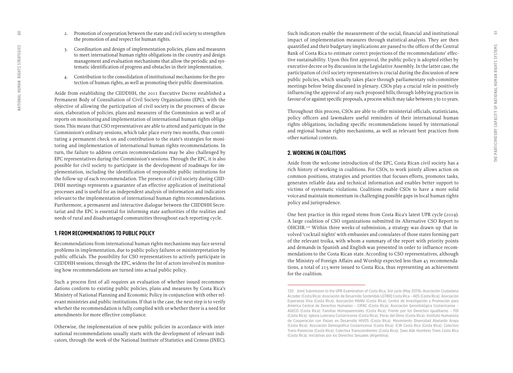- 2. Promotion of cooperation between the state and civil society to strengthen the promotion of and respect for human rights.
- 3. Coordination and design of implementation policies, plans and measures to meet international human rights obligations in the country and design management and evaluation mechanisms that allow the periodic and sys tematic identification of progress and obstacles in their implementation.
- 4. Contribution to the consolidation of institutional mechanisms for the pro tection of human rights, as well as promoting their public dissemination.

Aside from establishing the CIIDDHH, the 2011 Executive Decree established a Permanent Body of Consultation of Civil Society Organizations (EPC), with the objective of allowing the participation of civil society in the processes of discus sion, elaboration of policies, plans and measures of the Commission as well as of reports on monitoring and implementation of international human rights obliga tions. This means that CSO representatives are able to attend and participate in the Commission's ordinary sessions, which take place every two months, thus consti tuting a permanent check on and contribution to the state's strategies for moni toring and implementation of international human rights recommendations. In turn, the failure to address certain recommendations may be also challenged by EPC representatives during the Commission's sessions. Through the EPC, it is also possible for civil society to participate in the development of roadmaps for im plementation, including the identification of responsible public institutions for the follow-up of each recommendation. The presence of civil society during CIID - DHH meetings represents a guarantee of an effective application of institutional processes and is useful for an independent analysis of information and indicators relevant to the implementation of international human rights recommendations. Furthermore, a permanent and interactive dialogue between the CIIDDHH Secre tariat and the EPC is essential for informing state authorities of the realities and needs of rural and disadvantaged communities throughout each reporting cycle.

#### **1. FROM RECOMMENDATIONS TO PUBLIC POLICY**

Recommendations from international human rights mechanisms may face several problems in implementation, due to public policy failures or misinterpretation by public officials. The possibility for CSO representatives to actively participate in CIIDDHH sessions, through the EPC, widens the list of actors involved in monitor ing how recommendations are turned into actual public policy.

Such a process first of all requires an evaluation of whether issued recommen dations conform to existing public policies, plans and measures by Costa Rica's Ministry of National Planning and Economic Policy in conjunction with other rel evant ministries and public institutions. If that is the case, the next step is to verify whether the recommendation is fully complied with or whether there is a need for amendments for more effective compliance.

Otherwise, the implementation of new public policies in accordance with inter national recommendations usually starts with the development of relevant indi cators, through the work of the National Institute of Statistics and Census (INEC). Such indicators enable the measurement of the social, financial and institutional impact of implementation measures through statistical analysis. They are then quantified and their budgetary implications are passed to the offices of the Central Bank of Costa Rica to estimate correct projections of the recommendations' effec tive sustainability. Upon this first approval, the public policy is adopted either by executive decree or by discussion in the Legislative Assembly. In the latter case, the participation of civil society representatives is crucial during the discussion of new public policies, which usually takes place through parliamentary sub-committee meetings before being discussed in plenary. CSOs play a crucial role in positively influencing the approval of any such proposed bills, through lobbying practices in favour of or against specific proposals, a process which may take between 3 to 10 years.

Throughout this process, CSOs are able to offer ministerial officials, statisticians, policy officers and lawmakers useful reminders of their international human rights obligations, including specific recommendations issued by international and regional human rights mechanisms, as well as relevant best practices from other national contexts.

#### **2. WORKING IN COALITIONS**

Aside from the welcome introduction of the EPC, Costa Rican civil society has a rich history of working in coalitions. For CSOs, to work jointly allows action on common positions, strategies and priorities that focuses efforts, promotes tasks, generates reliable data and technical information and enables better support to victims of systematic violations. Coalitions enable CSOs to have a more solid voice and maintain momentum in challenging possible gaps in local human rights policy and jurisprudence.

One best practice in this regard stems from Costa Rica's latest UPR cycle (2019). A large coalition of CSO organizations submitted its Alternative CSO Report to OHCHR.120 Within three weeks of submission, a strategy was drawn up that in volved 'cocktail nights' with embassies and consulates of those states forming part of the relevant troika, with whom a summary of the report with priority points and demands in Spanish and English was presented in order to influence recom mendations to the Costa Rican state. According to CSO representatives, although the Ministry of Foreign Affairs and Worship expected less than 45 recommenda tions, a total of 215 were issued to Costa Rica, thus representing an achievement for the coalition.

<span id="page-30-0"></span> $\overline{6}$ 

**<sup>120</sup> Joint Submission to the UPR Examination of Costa Rica, 3rd cycle (May 2019), Asociación Ciudadana Acceder (Costa Rica); Asociación de Desarrollo Sostenible LGTBIQ Costa Rica – ADS (Costa Rica); Asociación Esperanza Viva (Costa Rica); Asociación MANU (Costa Rica); Centro de Investigación y Promoción para América Central de Derechos Humanos – CIPAC (Costa Rica); Asociación Gerontológica Costarricense – AGECO (Costa Rica); Familias Homoparentales (Costa Rica); Frente por los Derechos Igualitarios – FDI (Costa Rica); Iglesia Luterana Costarricense (Costa Rica); Peras del Olmo (Costa Rica); Instituto Humanista de Cooperación con Países en Desarrollo HIVOS (Costa Rica); Movimiento Diversidad Abelardo Araya (Costa Rica); Asociación Demográfica Costarricense (Costa Rica); ICW Costa Rica (Costa Rica); Colectivo Trans-Parencias (Costa Rica); Colectiva Transcendientes (Costa Rica); Síwo Alâr Hombres Trans Costa Rica (Costa Rica); Iniciativas por los Derechos Sexuales (Argentina).**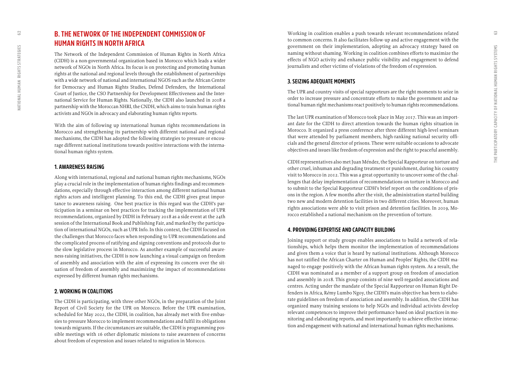## <span id="page-31-0"></span>**B. THE NETWORK OF THE INDEPENDENT COMMISSION OF HUMAN RIGHTS IN NORTH AFRICA**

The Network of the Independent Commission of Human Rights in North Africa (CIDH) is a non-governmental organization based in Morocco which leads a wider network of NGOs in North Africa. Its focus is on protecting and promoting human rights at the national and regional levels through the establishment of partnerships with a wide network of national and international NGOS such as the African Centre for Democracy and Human Rights Studies, Defend Defenders, the International Court of Justice, the CSO Partnership for Development Effectiveness and the Inter national Service for Human Rights. Nationally, the CIDH also launched in 2018 a partnership with the Moroccan NHRI, the CNDH, which aims to train human rights activists and NGOs in advocacy and elaborating human rights reports.

With the aim of following up international human rights recommendations in Morocco and strengthening its partnership with different national and regional mechanisms, the CIDH has adopted the following strategies to pressure or encou rage different national institutions towards positive interactions with the interna tional human rights system.

#### **1. AWARENESS RAISING**

Along with international, regional and national human rights mechanisms, NGOs play a crucial role in the implementation of human rights findings and recommen dations, especially through effective interaction among different national human rights actors and intelligent planning. To this end, the CIDH gives great impor tance to awareness raising. One best practice in this regard was the CIDH's par ticipation in a seminar on best practices for tracking the implementation of UPR recommendations, organized by DIDH in February 2018 as a side event at the 24th session of the International Book and Publishing Fair, and marked by the participa tion of international NGOs, such as UPR Info. In this context, the CIDH focused on the challenges that Morocco faces when responding to UPR recommendations and the complicated process of ratifying and signing conventions and protocols due to the slow legislative process in Morocco. As another example of successful aware ness-raising initiatives, the CIDH is now launching a visual campaign on freedom of assembly and association with the aim of expressing its concern over the sit uation of freedom of assembly and maximizing the impact of recommendations expressed by different human rights mechanisms.

#### **2. WORKING IN COALITIONS**

The CIDH is participating, with three other NGOs, in the preparation of the Joint Report of Civil Society for the UPR on Morocco. Before the UPR examination, scheduled for May 2022, the CIDH, in coalition, has already met with five embas sies to pressure Morocco to implement recommendations and fulfil its obligations towards migrants. If the circumstances are suitable, the CIDH is programming pos sible meetings with 16 other diplomatic missions to raise awareness of concerns about freedom of expression and issues related to migration in Morocco.

Working in coalition enables a push towards relevant recommendations related to common concerns. It also facilitates follow-up and active engagement with the government on their implementation, adopting an advocacy strategy based on naming without shaming. Working in coalition combines efforts to maximize the effects of NGO activity and enhance public visibility and engagement to defend journalists and other victims of violations of the freedom of expression.

#### **3. SEIZING ADEQUATE MOMENTS**

The UPR and country visits of special rapporteurs are the right moments to seize in order to increase pressure and concentrate efforts to make the government and na tional human right mechanisms react positively to human rights recommendations.

The last UPR examination of Morocco took place in May 2017. This was an import ant date for the CIDH to direct attention towards the human rights situation in Morocco. It organized a press conference after three different high-level seminars that were attended by parliament members, high-ranking national security offi cials and the general director of prisons. These were suitable occasions to advocate objectives and issues like freedom of expression and the right to peaceful assembly.

CIDH representatives also met Juan Méndez, the Special Rapporteur on torture and other cruel, inhuman and degrading treatment or punishment, during his country visit to Morocco in 2012. This was a great opportunity to uncover some of the chal lenges that delay implementation of recommendations on torture in Morocco and to submit to the Special Rapporteur CIDH's brief report on the conditions of pris ons in the region. A few months after the visit, the administration started building two new and modern detention facilities in two different cities. Moreover, human rights associations were able to visit prison and detention facilities. In 2019, Mo rocco established a national mechanism on the prevention of torture.

#### **4. PROVIDING EXPERTISE AND CAPACITY BUILDING**

Joining support or study groups enables associations to build a network of rela tionships, which helps them monitor the implementation of recommendations and gives them a voice that is heard by national institutions. Although Morocco has not ratified the African Charter on Human and Peoples' Rights, the CIDH ma naged to engage positively with the African human rights system. As a result, the CIDH was nominated as a member of a support group on freedom of association and assembly in 2018. This group consists of nine well-regarded associations and centres. Acting under the mandate of the Special Rapporteur on Human Right De fenders in Africa, R *é*my Lumbo Ngoy, the CIDH's main objective has been to elabo rate guidelines on freedom of association and assembly. In addition, the CIDH has organized many training sessions to help NGOs and individual activists develop relevant competences to improve their performance based on ideal practices in mo nitoring and elaborating reports, and most importantly to achieve effective interac tion and engagement with national and international human rights mechanisms.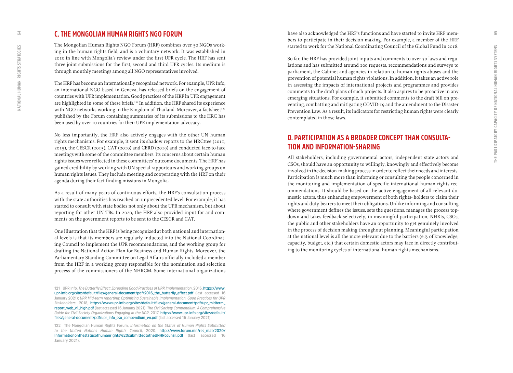### <span id="page-32-0"></span>**C. THE MONGOLIAN HUMAN RIGHTS NGO FORUM**

The Mongolian Human Rights NGO Forum (HRF) combines over 50 NGOs work ing in the human rights field, and is a voluntary network. It was established in 2010 in line with Mongolia's review under the first UPR cycle. The HRF has sent three joint submissions for the first, second and third UPR cycles. Its medium is through monthly meetings among all NGO representatives involved.

The HRF has become an internationally recognized network. For example, UPR Info, an international NGO based in Geneva, has released briefs on the engagement of countries with UPR implementation. Good practices of the HRF in UPR engagement are highlighted in some of these briefs.<sup>121</sup> In addition, the HRF shared its experience with NGO networks working in the Kingdom of Thailand. Moreover, a factsheet<sup>122</sup> published by the Forum containing summaries of its submissions to the HRC has been used by over 10 countries for their UPR implementation advocacy.

No less importantly, the HRF also actively engages with the other UN human rights mechanisms. For example, it sent its shadow reports to the HRCttee (2011, 2015), the CESCR (2015), CAT (2010) and CERD (2019) and conducted face-to-face meetings with some of the committee members. Its concerns about certain human rights issues were reflected in these committees' outcome documents. The HRF has gained credibility by working with UN special rapporteurs and working groups on human rights issues. They include meeting and cooperating with the HRF on their agenda during their fact-finding missions in Mongolia.

As a result of many years of continuous efforts, the HRF's consultation process with the state authorities has reached an unprecedented level. For example, it has started to consult with state bodies not only about the UPR mechanism, but about reporting for other UN TBs. In 2020, the HRF also provided input for and com ments on the government reports to be sent to the CESCR and CAT.

One illustration that the HRF is being recognized at both national and internation al levels is that its members are regularly inducted into the National Coordinat ing Council to implement the UPR recommendations, and the working group for drafting the National Action Plan for Business and Human Rights. Moreover, the Parliamentary Standing Committee on Legal Affairs officially included a member from the HRF in a working group responsible for the nomination and selection process of the commissioners of the NHRCM. Some international organizations

have also acknowledged the HRF's functions and have started to invite HRF mem bers to participate in their decision making. For example, a member of the HRF started to work for the National Coordinating Council of the Global Fund in 2018.

So far, the HRF has provided joint inputs and comments to over 30 laws and regu lations and has submitted around 100 requests, recommendations and surveys to parliament, the Cabinet and agencies in relation to human rights abuses and the prevention of potential human rights violations. In addition, it takes an active role in assessing the impacts of international projects and programmes and provides comments to the draft plans of such projects. It also aspires to be proactive in any emerging situations. For example, it submitted comments to the draft bill on pre venting, combatting and mitigating COVID-19 and the amendment to the Disaster Prevention Law. As a result, its indicators for restricting human rights were clearly contemplated in those laws.

## **D. PARTICIPATION AS A BROADER CONCEPT THAN CONSULTA - TION AND INFORMATION-SHARING**

All stakeholders, including governmental actors, independent state actors and CSOs, should have an opportunity to willingly, knowingly and effectively become involved in the decision-making process in order to reflect their needs and interests. Participation is much more than informing or consulting the people concerned in the monitoring and implementation of specific international human rights rec ommendations. It should be based on the active engagement of all relevant do mestic actors, thus enhancing empowerment of both rights- holders to claim their rights and duty-bearers to meet their obligations. Unlike informing and consulting where government defines the issues, sets the questions, manages the process topdown and takes feedback selectively, in meaningful participation, NHRIs, CSOs, the public and other stakeholders have an opportunity to get genuinely involved in the process of decision making throughout planning. Meaningful participation at the national level is all the more relevant due to the barriers (e.g. of knowledge, capacity, budget, etc.) that certain domestic actors may face in directly contribut ing to the monitoring cycles of international human rights mechanisms.

**<sup>121</sup> UPR Info,** *The Butterfly Effect: Spreading Good Practices of UPR Implementation***, 2016, [https://www.](https://www.upr-info.org/sites/default/files/general-document/pdf/2016_the_butterfly_effect.pdf) [upr-info.org/sites/default/files/general-document/pdf/2016\\_the\\_butterfly\\_effect.pdf](https://www.upr-info.org/sites/default/files/general-document/pdf/2016_the_butterfly_effect.pdf) (last accessed 16 January 2021);** *UPR Mid-term reporting: Optimising Sustainable Implementation. Good Practices for UPR Stakeholders***, 2018, [https://www.upr-info.org/sites/default/files/general-document/pdf/upr\\_midterm\\_](https://www.upr-info.org/sites/default/files/general-document/pdf/upr_midterm_report_web_v1_high.pdf) [report\\_web\\_v1\\_high.pdf](https://www.upr-info.org/sites/default/files/general-document/pdf/upr_midterm_report_web_v1_high.pdf)(last accessed 16 January 2021).** *The Civil Society Compendium: A Comprehensive Guide for Civil Society Organizations Engaging in the UPR***, 2017, [https://www.upr-info.org/sites/default/](https://www.upr-info.org/sites/default/files/general-document/pdf/upr_info_cso_compendium_en.pdf) [files/general-document/pdf/upr\\_info\\_cso\\_compendium\\_en.pdf](https://www.upr-info.org/sites/default/files/general-document/pdf/upr_info_cso_compendium_en.pdf) (last accessed 16 January 2021).**

**<sup>122</sup> The Mongolian Human Rights Forum,** *Information on the Status of Human Rights Submitted to the United Nations Human Rights Council***, 2020, [http://www.forum.mn/res\\_mat/2020/](http://www.forum.mn/res_mat/2020/Informationonthestatusofhumanrights%20submittedtotheUNHRcounsil.pdf) [Informationonthestatusofhumanrights%20submittedtotheUNHRcounsil.pdf](http://www.forum.mn/res_mat/2020/Informationonthestatusofhumanrights%20submittedtotheUNHRcounsil.pdf) (last accessed 16 January 2021).**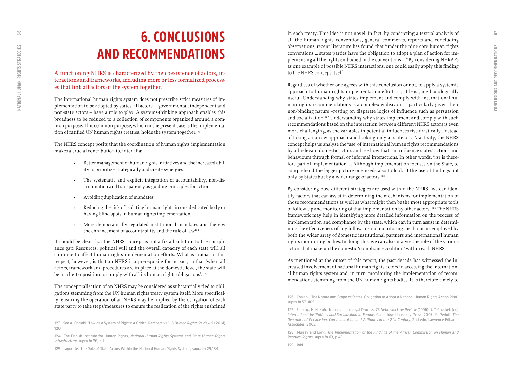## **6. CONCLUSIONS AND RECOMMENDATIONS**

A functioning NHRS is characterized by the coexistence of actors, in teractions and frameworks, including more or less formalized process es that link all actors of the system together.

The international human rights system does not prescribe strict measures of im plementation to be adopted by states: all actors – governmental, independent and non-state actors – have a role to play. A systems-thinking approach enables this broadness to be reduced to a collection of components organized around a com mon purpose. This common purpose, which in the present case is the implementa tion of ratified UN human rights treaties, holds the system together.<sup>123</sup>

The NHRS concept posits that the coordination of human rights implementation

- makes a crucial contribution to, inter alia:<br>• Better management of human rights initiatives and the increased ability to prioritize strategically and create synergies
	- The systematic and explicit integration of accountability, non-dis crimination and transparency as guiding principles for action
	-
	- Avoiding duplication of mandates<br>• Reducing the risk of isolating human rights in one dedicated body or having blind spots in human rights implementation
	- More democratically regulated institutional mandates and thereby the enhancement of accountability and the rule of law<sup>124</sup>

It should be clear that the NHRS concept is not a fix-all solution to the compli ance gap. Resources, political will and the overall capacity of each state will all continue to affect human rights implementation efforts. What is crucial in this respect, however, is that an NHRS is a prerequisite for impact, in that 'when all actors, framework and procedures are in place at the domestic level, the state will be in a better position to comply with all its human rights obligations'.<sup>125</sup>

The conceptualization of an NHRS may be considered as substantially tied to obli gations stemming from the UN human rights treaty system itself. More specifical ly, ensuring the operation of an NHRS may be implied by the obligation of each state party to take steps/measures to ensure the realization of the rights enshrined in each treaty. This idea is not novel. In fact, by conducting a textual analysis of all the human rights conventions, general comments, reports and concluding observations, recent literature has found that 'under the nine core human rights conventions … states parties have the obligation to adopt a plan of action for im plementing all the rights embodied in the conventions'.126 By considering NHRAPs as one example of possible NHRS interactions, one could easily apply this finding to the NHRS concept itself.

Regardless of whether one agrees with this conclusion or not, to apply a systemic approach to human rights implementation efforts is, at least, methodologically useful. Understanding why states implement and comply with international hu man rights recommendations is a complex endeavour – particularly given their non-binding nature –resting on disparate logics of influence such as persuasion and socialization.<sup>127</sup> Understanding why states implement and comply with such recommendations based on the interaction between different NHRS actors is even more challenging, as the variables in potential influences rise drastically. Instead of taking a narrow approach and looking only at state or UN activity, the NHRS concept helps us analyse the 'use' of international human rights recommendations by all relevant domestic actors and see how that can influence states' actions and behaviours through formal or informal interactions. In other words, '*use* is there fore part of implementation …. Although implementation focuses on the State, to comprehend the bigger picture one needs also to look at the use of findings not only by States but by a wider range of actors.<sup>128</sup>

By considering how different strategies are used within the NHRS, 'we can iden tify factors that can assist in determining the mechanisms for implementation of those recommendations as well as what might then be the most appropriate tools of follow-up and monitoring of that implementation by other actors'.129 The NHRS framework may help in identifying more detailed information on the process of implementation and compliance by the state, which can in turn assist in determi ning the effectiveness of any follow-up and monitoring mechanisms employed by both the wider array of domestic institutional partners and international human rights monitoring bodies. In doing this, we can also analyse the role of the various actors that make up the domestic 'compliance coalition' within each NHRS.

As mentioned at the outset of this report, the past decade has witnessed the in creased involvement of national human rights actors in accessing the internation al human rights system and, in turn, monitoring the implementation of recom mendations stemming from the UN human rights bodies. It is therefore timely to

<span id="page-33-0"></span>66

**<sup>123</sup> See A. Chalabi, 'Law as a System of Rights: A Critical Perspective,' 15** *Human Rights Review* **2 (2014) 120.**

**<sup>124</sup> The Danish Institute for Human Rights,** *National Human Rights Systems and State Human Rights Infrastructure***, supra fn 26, p 7.**

**<sup>125</sup> Lagoutte, 'The Role of State Actors Within the National Human Rights System', supra fn 29, 184.**

**<sup>126</sup> Chalabi, 'The Nature and Scope of States' Obligation to Adopt a National Human Rights Action Plan', supra fn 57, 405.** 

**<sup>127</sup> See e.g., H. H. Koh, 'Transnational Legal Process' 75** *Nebraska Law Review* **(1996); J. T. Checkel, (ed)**  *International Institutions and Socialization in Europe***, Cambridge University Press, 2007; M. Perloff,** *The Dynamics of Persuasion: Communication and Attitudes in the 21st Century***, 2nd edn, Lawrence Erlbaum Associates, 2003.**

**<sup>128</sup> Murray and Long,** *The Implementation of the Findings of the African Commission on Human and Peoples' Rights***, supra fn 63, p 43.**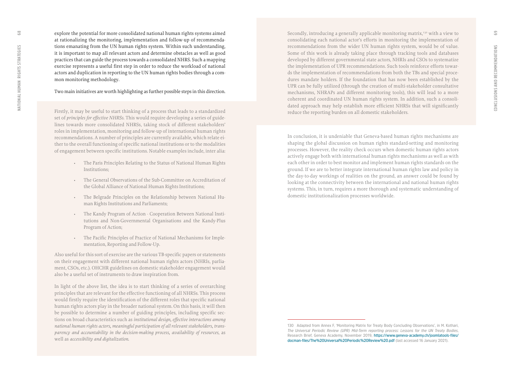explore the potential for more consolidated national human rights systems aimed at rationalizing the monitoring, implementation and follow-up of recommenda tions emanating from the UN human rights system. Within such understanding, it is important to map all relevant actors and determine obstacles as well as good practices that can guide the process towards a consolidated NHRS. Such a mapping exercise represents a useful first step in order to reduce the workload of national actors and duplication in reporting to the UN human rights bodies through a com mon monitoring methodology.

#### Two main initiatives are worth highlighting as further possible steps in this direction.

Firstly, it may be useful to start thinking of a process that leads to a standardized set of *principles for effective NHRSs*. This would require developing a series of guide lines towards more consolidated NHRSs, taking stock of different stakeholders' roles in implementation, monitoring and follow-up of international human rights recommendations. A number of principles are currently available, which relate ei ther to the overall functioning of specific national institutions or to the modalities of engagement between specific institutions. Notable examples include, inter alia:

- The Paris Principles Relating to the Status of National Human Rights Institutions;
- The General Observations of the Sub-Committee on Accreditation of the Global Alliance of National Human Rights Institutions;
- The Belgrade Principles on the Relationship between National Hu man Rights Institutions and Parliaments;
- The Kandy Program of Action Cooperation Between National Insti tutions and Non-Governmental Organisations and the Kandy-Plus Program of Action;
- The Pacific Principles of Practice of National Mechanisms for Imple mentation, Reporting and Follow-Up.

Also useful for this sort of exercise are the various TB-specific papers or statements on their engagement with different national human rights actors (NHRIs, parlia ment, CSOs, etc.). OHCHR guidelines on domestic stakeholder engagement would also be a useful set of instruments to draw inspiration from.

In light of the above list, the idea is to start thinking of a series of overarching principles that are relevant for the effective functioning of all NHRSs. This process would firstly require the identification of the different roles that specific national human rights actors play in the broader national system. On this basis, it will then be possible to determine a number of guiding principles, including specific sec tions on broad characteristics such as *institutional design, effective interactions among national human rights actors, meaningful participation of all relevant stakeholders, trans parency and accountability in the decision-making process, availability of resources*, as well as *accessibility and digitalization.*

Secondly, introducing a generally applicable monitoring matrix,<sup>130</sup> with a view to consolidating each national actor's efforts in monitoring the implementation of recommendations from the wider UN human rights system, would be of value. Some of this work is already taking place through tracking tools and databases developed by different governmental state actors, NHRIs and CSOs to systematize the implementation of UPR recommendations. Such tools reinforce efforts towar ds the implementation of recommendations from both the TBs and special proce dures mandate holders. If the foundation that has now been established by the UPR can be fully utilized (through the creation of multi-stakeholder consultative mechanisms, NHRAPs and different monitoring tools), this will lead to a more coherent and coordinated UN human rights system. In addition, such a consoli dated approach may help establish more efficient NHRSs that will significantly reduce the reporting burden on all domestic stakeholders.

In conclusion, it is undeniable that Geneva-based human rights mechanisms are shaping the global discussion on human rights standard-setting and monitoring processes. However, the reality check occurs when domestic human rights actors actively engage both with international human rights mechanisms as well as with each other in order to best monitor and implement human rights standards on the ground. If we are to better integrate international human rights law and policy in the day-to-day workings of realities on the ground, an answer could be found by looking at the connectivity between the international and national human rights systems. This, in turn, requires a more thorough and systematic understanding of domestic institutionalization processes worldwide.

**<sup>130</sup> Adapted from Annex F, 'Monitoring Matrix for Treaty Body Concluding Observations', in M. Kothari,**  *The Universal Periodic Review (UPR) Mid-Term reporting process: Lessons for the UN Treaty Bodies***, Research Brief, Geneva Academy, November 2019, [https://www.geneva-academy.ch/joomlatools-files/](https://www.geneva-academy.ch/joomlatools-files/docman-files/The%20Universal%20Periodic%20Review%20.pdf) [docman-files/The%20Universal%20Periodic%20Review%20.pdf](https://www.geneva-academy.ch/joomlatools-files/docman-files/The%20Universal%20Periodic%20Review%20.pdf) (last accessed 16 January 2021).**